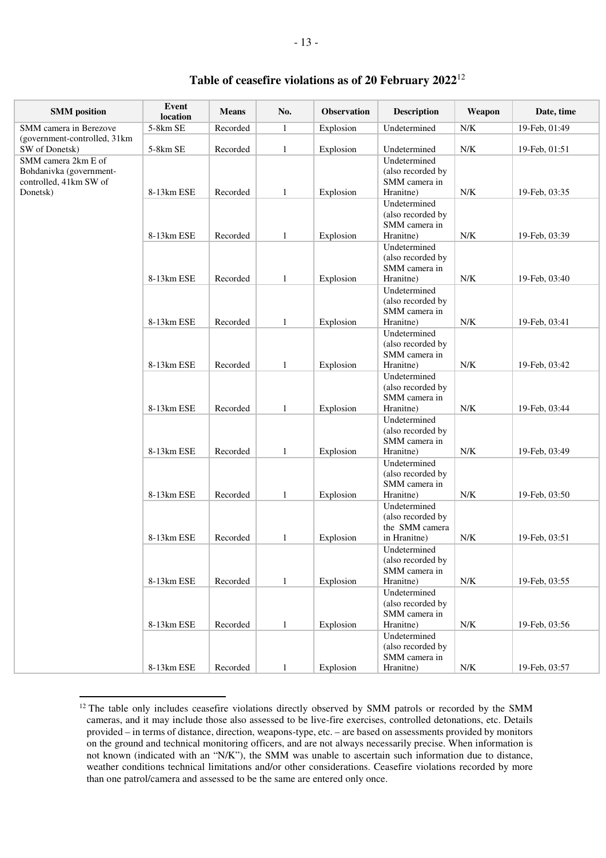| <b>SMM</b> position           | Event<br>location | <b>Means</b> | No.          | Observation | <b>Description</b>                 | Weapon      | Date, time    |
|-------------------------------|-------------------|--------------|--------------|-------------|------------------------------------|-------------|---------------|
| SMM camera in Berezove        | 5-8km SE          | Recorded     | $\mathbf{1}$ | Explosion   | Undetermined                       | N/K         | 19-Feb, 01:49 |
| (government-controlled, 31km) |                   |              |              |             |                                    |             |               |
| SW of Donetsk)                | 5-8km SE          | Recorded     | $\mathbf{1}$ | Explosion   | Undetermined                       | ${\rm N/K}$ | 19-Feb, 01:51 |
| SMM camera 2km E of           |                   |              |              |             | Undetermined                       |             |               |
| Bohdanivka (government-       |                   |              |              |             | (also recorded by                  |             |               |
| controlled, 41km SW of        |                   |              |              |             | SMM camera in                      |             |               |
| Donetsk)                      | 8-13km ESE        | Recorded     | $\mathbf{1}$ | Explosion   | Hranitne)                          | N/K         | 19-Feb, 03:35 |
|                               |                   |              |              |             | Undetermined                       |             |               |
|                               |                   |              |              |             | (also recorded by                  |             |               |
|                               |                   |              |              |             | SMM camera in                      |             |               |
|                               | 8-13km ESE        | Recorded     | $\mathbf{1}$ | Explosion   | Hranitne)                          | ${\rm N/K}$ | 19-Feb, 03:39 |
|                               |                   |              |              |             | Undetermined                       |             |               |
|                               |                   |              |              |             | (also recorded by                  |             |               |
|                               |                   |              |              |             | SMM camera in                      |             |               |
|                               | 8-13km ESE        | Recorded     | $\mathbf{1}$ | Explosion   | Hranitne)                          | ${\rm N/K}$ | 19-Feb, 03:40 |
|                               |                   |              |              |             | Undetermined                       |             |               |
|                               |                   |              |              |             | (also recorded by                  |             |               |
|                               |                   |              |              |             | SMM camera in                      |             |               |
|                               | 8-13km ESE        | Recorded     | $\mathbf{1}$ | Explosion   | Hranitne)                          | ${\rm N/K}$ | 19-Feb, 03:41 |
|                               |                   |              |              |             | Undetermined                       |             |               |
|                               |                   |              |              |             | (also recorded by                  |             |               |
|                               |                   |              |              |             | SMM camera in                      |             |               |
|                               | 8-13km ESE        | Recorded     | $\mathbf{1}$ | Explosion   | Hranitne)                          | ${\rm N/K}$ | 19-Feb, 03:42 |
|                               |                   |              |              |             | Undetermined                       |             |               |
|                               |                   |              |              |             | (also recorded by                  |             |               |
|                               |                   |              |              |             | SMM camera in                      |             |               |
|                               | 8-13km ESE        | Recorded     | $\mathbf{1}$ | Explosion   | Hranitne)                          | ${\rm N/K}$ | 19-Feb, 03:44 |
|                               |                   |              |              |             | Undetermined                       |             |               |
|                               |                   |              |              |             | (also recorded by<br>SMM camera in |             |               |
|                               | 8-13km ESE        | Recorded     | $\mathbf{1}$ | Explosion   | Hranitne)                          | ${\rm N/K}$ | 19-Feb, 03:49 |
|                               |                   |              |              |             | Undetermined                       |             |               |
|                               |                   |              |              |             | (also recorded by                  |             |               |
|                               |                   |              |              |             | SMM camera in                      |             |               |
|                               | 8-13km ESE        | Recorded     | $\mathbf{1}$ | Explosion   | Hranitne)                          | N/K         | 19-Feb, 03:50 |
|                               |                   |              |              |             | Undetermined                       |             |               |
|                               |                   |              |              |             | (also recorded by                  |             |               |
|                               |                   |              |              |             | the SMM camera                     |             |               |
|                               | 8-13km ESE        | Recorded     | $\mathbf{1}$ | Explosion   | in Hranitne)                       | ${\rm N/K}$ | 19-Feb, 03:51 |
|                               |                   |              |              |             | Undetermined                       |             |               |
|                               |                   |              |              |             | (also recorded by                  |             |               |
|                               |                   |              |              |             | SMM camera in                      |             |               |
|                               | 8-13km ESE        | Recorded     | $\mathbf{1}$ | Explosion   | Hranitne)                          | ${\rm N/K}$ | 19-Feb, 03:55 |
|                               |                   |              |              |             | Undetermined                       |             |               |
|                               |                   |              |              |             | (also recorded by                  |             |               |
|                               |                   |              |              |             | SMM camera in                      |             |               |
|                               | 8-13km ESE        | Recorded     | $\mathbf{1}$ | Explosion   | Hranitne)                          | ${\rm N/K}$ | 19-Feb, 03:56 |
|                               |                   |              |              |             | Undetermined                       |             |               |
|                               |                   |              |              |             | (also recorded by                  |             |               |
|                               |                   |              |              |             | SMM camera in                      |             |               |
|                               | 8-13km ESE        | Recorded     | $\mathbf{1}$ | Explosion   | Hranitne)                          | ${\rm N/K}$ | 19-Feb, 03:57 |

## **Table of ceasefire violations as of 20 February 2022** 12

 $\overline{a}$ 

<sup>&</sup>lt;sup>12</sup> The table only includes ceasefire violations directly observed by SMM patrols or recorded by the SMM cameras, and it may include those also assessed to be live-fire exercises, controlled detonations, etc. Details provided – in terms of distance, direction, weapons-type, etc. – are based on assessments provided by monitors on the ground and technical monitoring officers, and are not always necessarily precise. When information is not known (indicated with an "N/K"), the SMM was unable to ascertain such information due to distance, weather conditions technical limitations and/or other considerations. Ceasefire violations recorded by more than one patrol/camera and assessed to be the same are entered only once.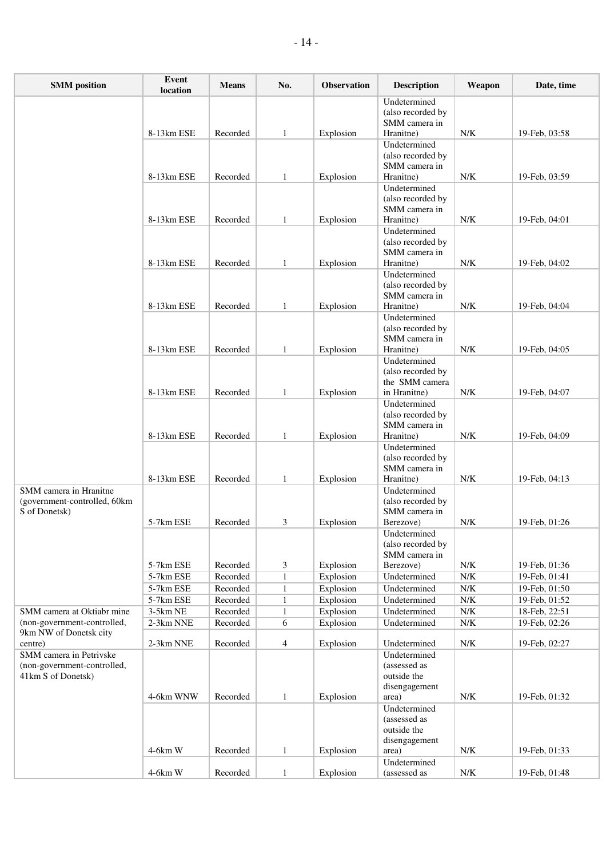| <b>SMM</b> position                                                          | Event<br>location     | <b>Means</b>         | No.               | Observation            | <b>Description</b>                                                 | Weapon                                 | Date, time                     |
|------------------------------------------------------------------------------|-----------------------|----------------------|-------------------|------------------------|--------------------------------------------------------------------|----------------------------------------|--------------------------------|
|                                                                              | 8-13km ESE            | Recorded             | 1                 | Explosion              | Undetermined<br>(also recorded by<br>SMM camera in<br>Hranitne)    | N/K                                    | 19-Feb, 03:58                  |
|                                                                              | 8-13km ESE            | Recorded             | $\mathbf{1}$      | Explosion              | Undetermined<br>(also recorded by<br>SMM camera in<br>Hranitne)    | N/K                                    | 19-Feb, 03:59                  |
|                                                                              | 8-13km ESE            | Recorded             | $\mathbf{1}$      | Explosion              | Undetermined<br>(also recorded by<br>SMM camera in<br>Hranitne)    | N/K                                    | 19-Feb, 04:01                  |
|                                                                              | 8-13km ESE            | Recorded             | $\mathbf{1}$      | Explosion              | Undetermined<br>(also recorded by<br>SMM camera in<br>Hranitne)    | N/K                                    | 19-Feb, 04:02                  |
|                                                                              | 8-13km ESE            | Recorded             | $\mathbf{1}$      | Explosion              | Undetermined<br>(also recorded by<br>SMM camera in<br>Hranitne)    | N/K                                    | 19-Feb. 04:04                  |
|                                                                              | 8-13km ESE            | Recorded             | $\mathbf{1}$      |                        | Undetermined<br>(also recorded by<br>SMM camera in<br>Hranitne)    | N/K                                    | 19-Feb, 04:05                  |
|                                                                              |                       |                      |                   | Explosion              | Undetermined<br>(also recorded by<br>the SMM camera                |                                        |                                |
|                                                                              | 8-13km ESE            | Recorded             | $\mathbf{1}$      | Explosion              | in Hranitne)<br>Undetermined<br>(also recorded by<br>SMM camera in | ${\rm N/K}$                            | 19-Feb, 04:07                  |
|                                                                              | 8-13km ESE            | Recorded             | $\mathbf{1}$      | Explosion              | Hranitne)<br>Undetermined<br>(also recorded by                     | N/K                                    | 19-Feb, 04:09                  |
|                                                                              | 8-13km ESE            | Recorded             | $\mathbf{1}$      | Explosion              | SMM camera in<br>Hranitne)                                         | N/K                                    | 19-Feb, 04:13                  |
| SMM camera in Hranitne<br>(government-controlled, 60km<br>S of Donetsk)      |                       |                      |                   |                        | Undetermined<br>(also recorded by<br>SMM camera in                 |                                        |                                |
|                                                                              | 5-7km ESE             | Recorded             | 3                 | Explosion              | Berezove)<br>Undetermined<br>(also recorded by<br>SMM camera in    | N/K                                    | 19-Feb, 01:26                  |
|                                                                              | 5-7km ESE             | Recorded             | 3                 | Explosion              | Berezove)                                                          | N/K                                    | 19-Feb, 01:36                  |
|                                                                              | 5-7km ESE             | Recorded             | $\mathbf{1}$      | Explosion              | Undetermined                                                       | ${\rm N/K}$                            | 19-Feb, 01:41                  |
|                                                                              | 5-7km ESE             | Recorded             | 1                 | Explosion              | Undetermined                                                       | ${\rm N/K}$                            | 19-Feb, 01:50                  |
| SMM camera at Oktiabr mine                                                   | 5-7km ESE<br>3-5km NE | Recorded<br>Recorded | 1                 | Explosion              | Undetermined<br>Undetermined                                       | ${\rm N/K}$<br>$\overline{\text{N/K}}$ | 19-Feb, 01:52                  |
| (non-government-controlled,                                                  | 2-3km NNE             | Recorded             | $\mathbf{1}$<br>6 | Explosion<br>Explosion | Undetermined                                                       | ${\rm N/K}$                            | 18-Feb, 22:51<br>19-Feb, 02:26 |
| 9km NW of Donetsk city<br>centre)                                            | 2-3km NNE             |                      |                   | Explosion              | Undetermined                                                       | ${\rm N/K}$                            | 19-Feb, 02:27                  |
| SMM camera in Petrivske<br>(non-government-controlled,<br>41km S of Donetsk) |                       | Recorded             | $\overline{4}$    |                        | Undetermined<br>(assessed as<br>outside the                        |                                        |                                |
|                                                                              | 4-6km WNW             | Recorded             | $\mathbf{1}$      | Explosion              | disengagement<br>area)<br>Undetermined<br>(assessed as             | ${\rm N/K}$                            | 19-Feb, 01:32                  |
|                                                                              | $4-6km$ W             | Recorded             | $\mathbf{1}$      | Explosion              | outside the<br>disengagement<br>area)                              | N/K                                    | 19-Feb, 01:33                  |
|                                                                              | 4-6km W               | Recorded             | $\mathbf{1}$      | Explosion              | Undetermined<br>(assessed as                                       | N/K                                    | 19-Feb, 01:48                  |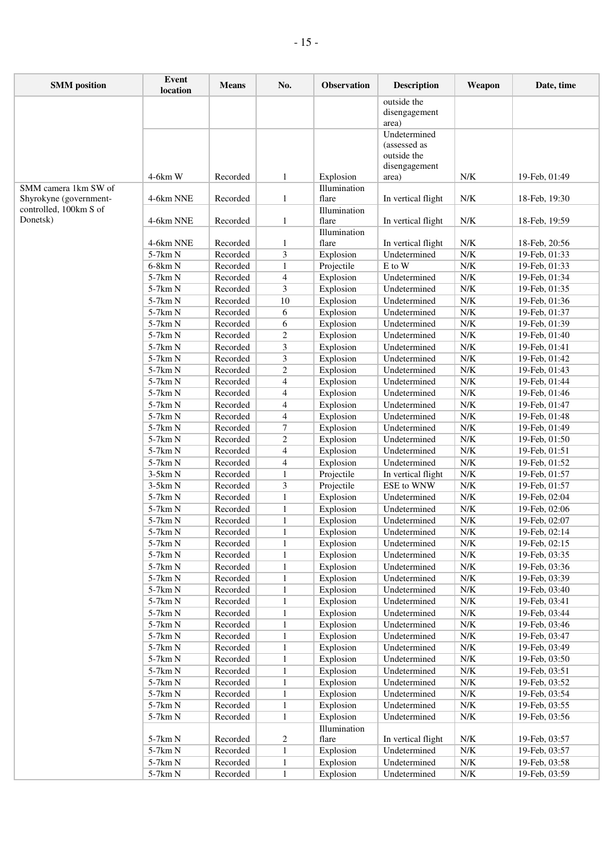| <b>SMM</b> position    | Event<br>location  | <b>Means</b>         | No.                 | Observation               | <b>Description</b>           | Weapon                     | Date, time                     |
|------------------------|--------------------|----------------------|---------------------|---------------------------|------------------------------|----------------------------|--------------------------------|
|                        |                    |                      |                     |                           | outside the<br>disengagement |                            |                                |
|                        |                    |                      |                     |                           | area)                        |                            |                                |
|                        |                    |                      |                     |                           | Undetermined                 |                            |                                |
|                        |                    |                      |                     |                           | (assessed as                 |                            |                                |
|                        |                    |                      |                     |                           | outside the                  |                            |                                |
|                        |                    |                      |                     |                           | disengagement                |                            |                                |
| SMM camera 1km SW of   | $4-6km$ W          | Recorded             | $\mathbf{1}$        | Explosion<br>Illumination | area)                        | N/K                        | 19-Feb, 01:49                  |
| Shyrokyne (government- | 4-6km NNE          | Recorded             | $\mathbf{1}$        | flare                     | In vertical flight           | N/K                        | 18-Feb, 19:30                  |
| controlled, 100km S of |                    |                      |                     | Illumination              |                              |                            |                                |
| Donetsk)               | 4-6km NNE          | Recorded             | 1                   | flare                     | In vertical flight           | N/K                        | 18-Feb, 19:59                  |
|                        |                    |                      |                     | Illumination              |                              |                            |                                |
|                        | 4-6km NNE          | Recorded             | 1                   | flare                     | In vertical flight           | N/K                        | 18-Feb, 20:56                  |
|                        | 5-7km N            | Recorded             | 3                   | Explosion                 | Undetermined                 | ${\rm N/K}$                | 19-Feb, 01:33                  |
|                        | $6-8km N$          | Recorded<br>Recorded | 1                   | Projectile                | E to W<br>Undetermined       | N/K<br>${\rm N/K}$         | 19-Feb, 01:33                  |
|                        | 5-7km N<br>5-7km N | Recorded             | $\overline{4}$<br>3 | Explosion<br>Explosion    | Undetermined                 | N/K                        | 19-Feb, 01:34<br>19-Feb, 01:35 |
|                        | 5-7km N            | Recorded             | $10\,$              | Explosion                 | Undetermined                 | N/K                        | 19-Feb, 01:36                  |
|                        | 5-7km N            | Recorded             | 6                   | Explosion                 | Undetermined                 | N/K                        | 19-Feb, 01:37                  |
|                        | 5-7km N            | Recorded             | 6                   | Explosion                 | Undetermined                 | N/K                        | 19-Feb, 01:39                  |
|                        | 5-7km N            | Recorded             | 2                   | Explosion                 | Undetermined                 | N/K                        | 19-Feb, 01:40                  |
|                        | 5-7km N            | Recorded             | 3                   | Explosion                 | Undetermined                 | $\overline{\text{N/K}}$    | 19-Feb, 01:41                  |
|                        | 5-7km N            | Recorded             | 3                   | Explosion                 | Undetermined                 | N/K                        | 19-Feb, 01:42                  |
|                        | 5-7km N            | Recorded             | $\overline{c}$      | Explosion                 | Undetermined                 | N/K                        | 19-Feb, 01:43                  |
|                        | 5-7km N            | Recorded             | 4                   | Explosion                 | Undetermined                 | N/K                        | 19-Feb, 01:44                  |
|                        | 5-7km N            | Recorded             | $\overline{4}$      | Explosion                 | Undetermined                 | N/K                        | 19-Feb, 01:46                  |
|                        | 5-7km N            | Recorded             | 4                   | Explosion                 | Undetermined                 | N/K                        | 19-Feb, 01:47                  |
|                        | 5-7km N            | Recorded             | $\overline{4}$      | Explosion                 | Undetermined                 | ${\rm N/K}$                | 19-Feb, 01:48                  |
|                        | 5-7km N            | Recorded             | 7                   | Explosion                 | Undetermined                 | N/K                        | 19-Feb, 01:49                  |
|                        | 5-7km N<br>5-7km N | Recorded<br>Recorded | 2<br>4              | Explosion<br>Explosion    | Undetermined<br>Undetermined | N/K<br>${\rm N/K}$         | 19-Feb, 01:50<br>19-Feb, 01:51 |
|                        | $5-7km N$          | Recorded             | 4                   | Explosion                 | Undetermined                 | ${\rm N/K}$                | 19-Feb, 01:52                  |
|                        | $3-5km N$          | Recorded             | 1                   | Projectile                | In vertical flight           | N/K                        | 19-Feb, 01:57                  |
|                        | $3-5km N$          | Recorded             | 3                   | Projectile                | ESE to WNW                   | N/K                        | 19-Feb, 01:57                  |
|                        | 5-7km N            | Recorded             | $\mathbf{1}$        | Explosion                 | Undetermined                 | ${\rm N/K}$                | 19-Feb, 02:04                  |
|                        | 5-7km N            | Recorded             | $\mathbf{1}$        | Explosion                 | Undetermined                 | $\overline{\text{N/K}}$    | 19-Feb, 02:06                  |
|                        | 5-7km N            | Recorded             | $\mathbf{1}$        | Explosion                 | Undetermined                 | N/K                        | 19-Feb, 02:07                  |
|                        | $5-7\rm km~N$      | Recorded             | $\mathbf{1}$        | Explosion                 | Undetermined                 | ${\rm N/K}$                | 19-Feb, 02:14                  |
|                        | 5-7km N            | Recorded             | 1                   | Explosion                 | Undetermined                 | N/K                        | 19-Feb, 02:15                  |
|                        | 5-7km N            | Recorded             | 1                   | Explosion                 | Undetermined                 | N/K                        | 19-Feb, 03:35                  |
|                        | 5-7km N            | Recorded             | 1                   | Explosion                 | Undetermined                 | ${\rm N/K}$                | 19-Feb, 03:36                  |
|                        | 5-7km N            | Recorded             | $\mathbf{1}$        | Explosion                 | Undetermined                 | $N/K$                      | 19-Feb, 03:39                  |
|                        | 5-7km N            | Recorded             | $\mathbf{1}$        | Explosion                 | Undetermined                 | ${\rm N/K}$                | 19-Feb, 03:40                  |
|                        | 5-7km N<br>5-7km N | Recorded<br>Recorded | 1                   | Explosion<br>Explosion    | Undetermined<br>Undetermined | ${\rm N/K}$<br>${\rm N/K}$ | 19-Feb, 03:41<br>19-Feb, 03:44 |
|                        | 5-7km N            | Recorded             | 1<br>$\mathbf{1}$   | Explosion                 | Undetermined                 | ${\rm N/K}$                | 19-Feb, 03:46                  |
|                        | 5-7km N            | Recorded             | $\mathbf{1}$        | Explosion                 | Undetermined                 | ${\rm N/K}$                | 19-Feb, 03:47                  |
|                        | 5-7km N            | Recorded             | $\mathbf{1}$        | Explosion                 | Undetermined                 | ${\rm N/K}$                | 19-Feb, 03:49                  |
|                        | 5-7km N            | Recorded             | 1                   | Explosion                 | Undetermined                 | ${\rm N/K}$                | 19-Feb, 03:50                  |
|                        | 5-7km N            | Recorded             | $\mathbf{1}$        | Explosion                 | Undetermined                 | ${\rm N/K}$                | 19-Feb, 03:51                  |
|                        | 5-7km N            | Recorded             | $\mathbf{1}$        | Explosion                 | Undetermined                 | N/K                        | 19-Feb, 03:52                  |
|                        | 5-7km N            | Recorded             | $\mathbf{1}$        | Explosion                 | Undetermined                 | N/K                        | 19-Feb, 03:54                  |
|                        | 5-7km N            | Recorded             | 1                   | Explosion                 | Undetermined                 | ${\rm N/K}$                | 19-Feb, 03:55                  |
|                        | 5-7km N            | Recorded             | 1                   | Explosion                 | Undetermined                 | ${\rm N/K}$                | 19-Feb, 03:56                  |
|                        |                    |                      |                     | Illumination              |                              |                            |                                |
|                        | 5-7km N            | Recorded             | 2                   | flare                     | In vertical flight           | N/K                        | 19-Feb, 03:57                  |
|                        | 5-7km N<br>5-7km N | Recorded<br>Recorded | 1                   | Explosion<br>Explosion    | Undetermined<br>Undetermined | ${\rm N/K}$<br>$N/K$       | 19-Feb, 03:57<br>19-Feb, 03:58 |
|                        | 5-7km N            | Recorded             | 1<br>$\mathbf{1}$   | Explosion                 | Undetermined                 | N/K                        | 19-Feb, 03:59                  |
|                        |                    |                      |                     |                           |                              |                            |                                |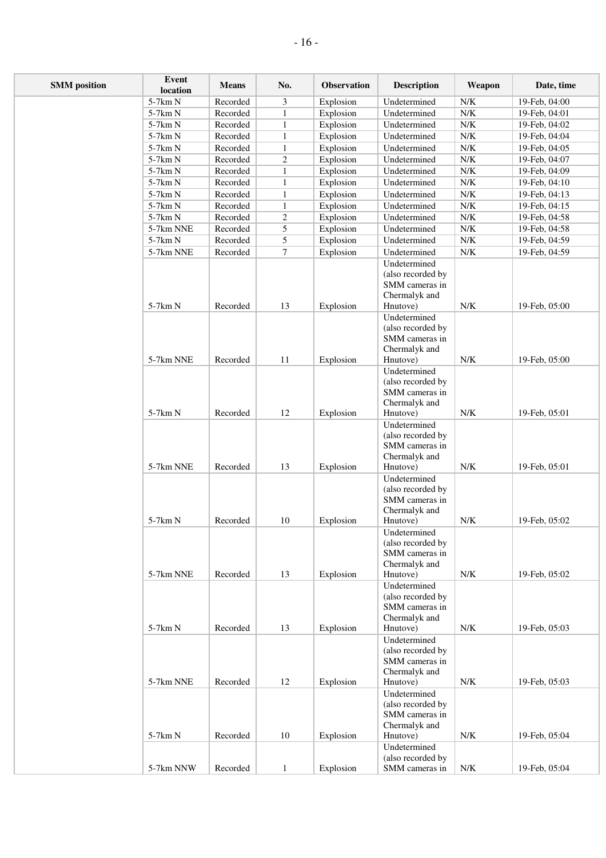| <b>SMM</b> position | Event<br>location | <b>Means</b> | No.            | Observation | <b>Description</b>                                                               | Weapon                    | Date, time    |
|---------------------|-------------------|--------------|----------------|-------------|----------------------------------------------------------------------------------|---------------------------|---------------|
|                     | 5-7km N           | Recorded     | 3              | Explosion   | Undetermined                                                                     | N/K                       | 19-Feb, 04:00 |
|                     | $5-7km N$         | Recorded     | 1              | Explosion   | Undetermined                                                                     | ${\rm N/K}$               | 19-Feb, 04:01 |
|                     | 5-7km N           | Recorded     | $\mathbf{1}$   | Explosion   | Undetermined                                                                     | ${\rm N/K}$               | 19-Feb, 04:02 |
|                     | 5-7km N           | Recorded     | $\mathbf{1}$   | Explosion   | Undetermined                                                                     | $\ensuremath{\text{N/K}}$ | 19-Feb, 04:04 |
|                     | 5-7km N           | Recorded     | $\mathbf{1}$   | Explosion   | Undetermined                                                                     | $\ensuremath{\text{N/K}}$ | 19-Feb, 04:05 |
|                     | 5-7km N           | Recorded     | $\overline{c}$ | Explosion   | Undetermined                                                                     | ${\rm N/K}$               | 19-Feb, 04:07 |
|                     | 5-7km N           | Recorded     | $\mathbf{1}$   | Explosion   | Undetermined                                                                     | ${\rm N/K}$               | 19-Feb, 04:09 |
|                     | 5-7km N           | Recorded     | $\mathbf{1}$   | Explosion   | Undetermined                                                                     | ${\rm N/K}$               | 19-Feb, 04:10 |
|                     | 5-7km N           | Recorded     | $\mathbf{1}$   | Explosion   | Undetermined                                                                     | ${\rm N/K}$               | 19-Feb, 04:13 |
|                     | 5-7km N           | Recorded     | $\mathbf{1}$   | Explosion   | Undetermined                                                                     | ${\rm N/K}$               | 19-Feb, 04:15 |
|                     | 5-7km N           | Recorded     | 2              | Explosion   | Undetermined                                                                     | ${\rm N/K}$               | 19-Feb, 04:58 |
|                     | 5-7km NNE         | Recorded     | 5              | Explosion   | Undetermined                                                                     | N/K                       | 19-Feb, 04:58 |
|                     | $5-7km$ N         | Recorded     | 5              | Explosion   | Undetermined                                                                     | ${\rm N/K}$               | 19-Feb, 04:59 |
|                     | 5-7km NNE         | Recorded     | $\tau$         | Explosion   | Undetermined<br>Undetermined                                                     | ${\rm N/K}$               | 19-Feb, 04:59 |
|                     | 5-7km N           | Recorded     | 13             | Explosion   | (also recorded by<br>SMM cameras in<br>Chermalyk and<br>Hnutove)<br>Undetermined | ${\rm N/K}$               | 19-Feb, 05:00 |
|                     | 5-7km NNE         | Recorded     | 11             | Explosion   | (also recorded by<br>SMM cameras in<br>Chermalyk and<br>Hnutove)                 | N/K                       | 19-Feb, 05:00 |
|                     |                   |              |                |             | Undetermined                                                                     |                           |               |
|                     |                   |              |                |             | (also recorded by<br>SMM cameras in<br>Chermalyk and                             |                           |               |
|                     | 5-7km N           | Recorded     | 12             | Explosion   | Hnutove)<br>Undetermined                                                         | ${\rm N/K}$               | 19-Feb, 05:01 |
|                     | 5-7km NNE         | Recorded     | 13             | Explosion   | (also recorded by<br>SMM cameras in<br>Chermalyk and<br>Hnutove)                 | ${\rm N/K}$               | 19-Feb, 05:01 |
|                     | 5-7km N           | Recorded     | 10             | Explosion   | Undetermined<br>(also recorded by<br>SMM cameras in<br>Chermalyk and<br>Hnutove) | ${\rm N/K}$               | 19-Feb, 05:02 |
|                     |                   |              |                |             | Undetermined                                                                     |                           |               |
|                     | 5-7km NNE         | Recorded     | 13             | Explosion   | (also recorded by<br>SMM cameras in<br>Chermalyk and<br>Hnutove)                 | ${\rm N/K}$               | 19-Feb, 05:02 |
|                     | $5-7km N$         | Recorded     | 13             | Explosion   | Undetermined<br>(also recorded by<br>SMM cameras in<br>Chermalyk and<br>Hnutove) | N/K                       | 19-Feb, 05:03 |
|                     |                   |              |                |             | Undetermined<br>(also recorded by<br>SMM cameras in<br>Chermalyk and             |                           |               |
|                     | 5-7km NNE         | Recorded     | 12             | Explosion   | Hnutove)                                                                         | ${\rm N/K}$               | 19-Feb, 05:03 |
|                     | 5-7km N           | Recorded     | 10             | Explosion   | Undetermined<br>(also recorded by<br>SMM cameras in<br>Chermalyk and<br>Hnutove) | $N/K$                     | 19-Feb, 05:04 |
|                     |                   |              |                |             | Undetermined                                                                     |                           |               |
|                     | 5-7km NNW         | Recorded     | $\mathbf{1}$   | Explosion   | (also recorded by<br>SMM cameras in                                              | ${\rm N/K}$               | 19-Feb, 05:04 |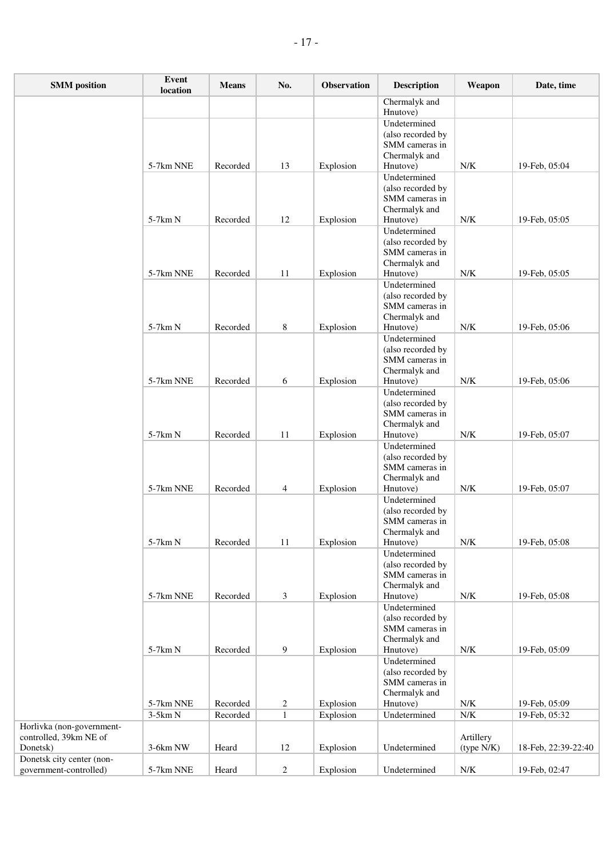| <b>SMM</b> position                | Event<br>location | <b>Means</b> | No.              | Observation | <b>Description</b>                  | Weapon                  | Date, time          |
|------------------------------------|-------------------|--------------|------------------|-------------|-------------------------------------|-------------------------|---------------------|
|                                    |                   |              |                  |             | Chermalyk and<br>Hnutove)           |                         |                     |
|                                    |                   |              |                  |             | Undetermined                        |                         |                     |
|                                    |                   |              |                  |             | (also recorded by                   |                         |                     |
|                                    |                   |              |                  |             | SMM cameras in                      |                         |                     |
|                                    |                   |              |                  |             | Chermalyk and                       |                         |                     |
|                                    | 5-7km NNE         | Recorded     | 13               | Explosion   | Hnutove)                            | ${\rm N/K}$             | 19-Feb, 05:04       |
|                                    |                   |              |                  |             | Undetermined                        |                         |                     |
|                                    |                   |              |                  |             | (also recorded by<br>SMM cameras in |                         |                     |
|                                    |                   |              |                  |             | Chermalyk and                       |                         |                     |
|                                    | $5-7km N$         | Recorded     | 12               | Explosion   | Hnutove)                            | ${\rm N/K}$             | 19-Feb, 05:05       |
|                                    |                   |              |                  |             | Undetermined                        |                         |                     |
|                                    |                   |              |                  |             | (also recorded by                   |                         |                     |
|                                    |                   |              |                  |             | SMM cameras in                      |                         |                     |
|                                    | 5-7km NNE         | Recorded     | 11               | Explosion   | Chermalyk and<br>Hnutove)           | ${\rm N/K}$             | 19-Feb, 05:05       |
|                                    |                   |              |                  |             | Undetermined                        |                         |                     |
|                                    |                   |              |                  |             | (also recorded by                   |                         |                     |
|                                    |                   |              |                  |             | SMM cameras in                      |                         |                     |
|                                    |                   |              |                  |             | Chermalyk and                       |                         |                     |
|                                    | 5-7km N           | Recorded     | 8                | Explosion   | Hnutove)                            | ${\rm N/K}$             | 19-Feb, 05:06       |
|                                    |                   |              |                  |             | Undetermined                        |                         |                     |
|                                    |                   |              |                  |             | (also recorded by<br>SMM cameras in |                         |                     |
|                                    |                   |              |                  |             | Chermalyk and                       |                         |                     |
|                                    | 5-7km NNE         | Recorded     | 6                | Explosion   | Hnutove)                            | ${\rm N/K}$             | 19-Feb, 05:06       |
|                                    |                   |              |                  |             | Undetermined                        |                         |                     |
|                                    |                   |              |                  |             | (also recorded by                   |                         |                     |
|                                    |                   |              |                  |             | SMM cameras in                      |                         |                     |
|                                    | $5-7km N$         |              | 11               |             | Chermalyk and                       | ${\rm N/K}$             | 19-Feb, 05:07       |
|                                    |                   | Recorded     |                  | Explosion   | Hnutove)<br>Undetermined            |                         |                     |
|                                    |                   |              |                  |             | (also recorded by                   |                         |                     |
|                                    |                   |              |                  |             | SMM cameras in                      |                         |                     |
|                                    |                   |              |                  |             | Chermalyk and                       |                         |                     |
|                                    | 5-7km NNE         | Recorded     | $\overline{4}$   | Explosion   | Hnutove)                            | ${\rm N/K}$             | 19-Feb, 05:07       |
|                                    |                   |              |                  |             | Undetermined                        |                         |                     |
|                                    |                   |              |                  |             | (also recorded by<br>SMM cameras in |                         |                     |
|                                    |                   |              |                  |             | Chermalyk and                       |                         |                     |
|                                    | 5-7km N           | Recorded     | 11               | Explosion   | Hnutove)                            | ${\rm N/K}$             | 19-Feb, 05:08       |
|                                    |                   |              |                  |             | Undetermined                        |                         |                     |
|                                    |                   |              |                  |             | (also recorded by                   |                         |                     |
|                                    |                   |              |                  |             | SMM cameras in                      |                         |                     |
|                                    | 5-7km NNE         | Recorded     | 3                | Explosion   | Chermalyk and<br>Hnutove)           | ${\rm N/K}$             | 19-Feb, 05:08       |
|                                    |                   |              |                  |             | Undetermined                        |                         |                     |
|                                    |                   |              |                  |             | (also recorded by                   |                         |                     |
|                                    |                   |              |                  |             | SMM cameras in                      |                         |                     |
|                                    |                   |              |                  |             | Chermalyk and                       |                         |                     |
|                                    | 5-7km N           | Recorded     | $\boldsymbol{9}$ | Explosion   | Hnutove)                            | ${\rm N/K}$             | 19-Feb, 05:09       |
|                                    |                   |              |                  |             | Undetermined<br>(also recorded by   |                         |                     |
|                                    |                   |              |                  |             | SMM cameras in                      |                         |                     |
|                                    |                   |              |                  |             | Chermalyk and                       |                         |                     |
|                                    | 5-7km NNE         | Recorded     | $\overline{2}$   | Explosion   | Hnutove)                            | ${\rm N/K}$             | 19-Feb, 05:09       |
|                                    | 3-5km N           | Recorded     | $\overline{1}$   | Explosion   | Undetermined                        | ${\rm N/K}$             | 19-Feb, 05:32       |
| Horlivka (non-government-          |                   |              |                  |             |                                     |                         |                     |
| controlled, 39km NE of<br>Donetsk) | 3-6km NW          | Heard        | 12               | Explosion   | Undetermined                        | Artillery<br>(type N/K) | 18-Feb, 22:39-22:40 |
| Donetsk city center (non-          |                   |              |                  |             |                                     |                         |                     |
| government-controlled)             | 5-7km NNE         | Heard        | $\overline{2}$   | Explosion   | Undetermined                        | ${\rm N/K}$             | 19-Feb, 02:47       |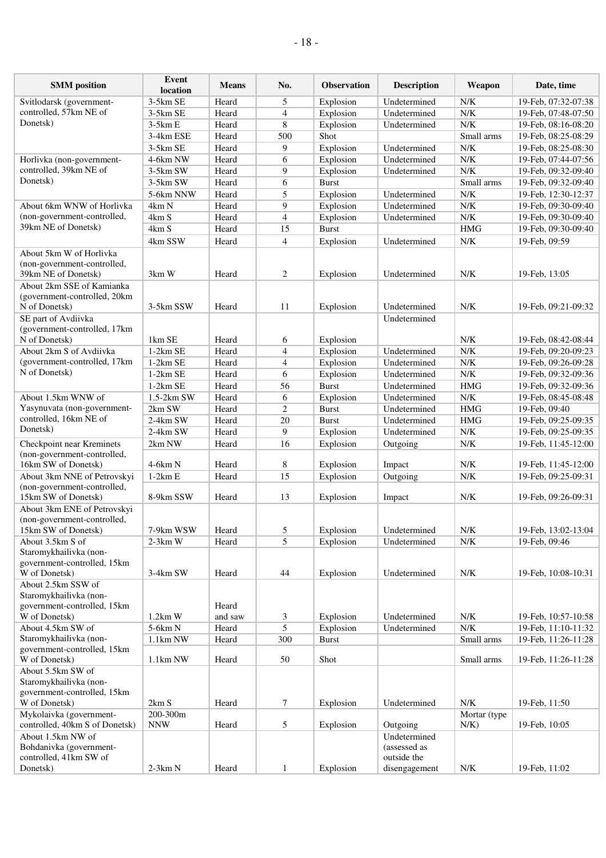| <b>SMM</b> position                                                                                        | Event<br>location     | <b>Means</b>     | No.            | <b>Observation</b>     | <b>Description</b>           | Weapon             | Date, time                           |
|------------------------------------------------------------------------------------------------------------|-----------------------|------------------|----------------|------------------------|------------------------------|--------------------|--------------------------------------|
| Svitlodarsk (government-                                                                                   | 3-5km SE              | Heard            | 5              | Explosion              | Undetermined                 | N/K                | 19-Feb, 07:32-07:38                  |
| controlled, 57km NE of                                                                                     | 3-5km SE              | Heard            | 4              | Explosion              | Undetermined                 | N/K                | 19-Feb, 07:48-07:50                  |
| Donetsk)                                                                                                   | $3-5kmE$              | Heard            | 8              | Explosion              | Undetermined                 | N/K                | 19-Feb, 08:16-08:20                  |
|                                                                                                            | 3-4km ESE             | Heard            | 500            | Shot                   |                              | Small arms         | 19-Feb, 08:25-08:29                  |
|                                                                                                            | 3-5km SE              | Heard            | 9              | Explosion              | Undetermined                 | N/K                | 19-Feb, 08:25-08:30                  |
| Horlivka (non-government-                                                                                  | 4-6km NW              | Heard            | 6              | Explosion              | Undetermined                 | N/K                | 19-Feb, 07:44-07:56                  |
| controlled, 39km NE of                                                                                     | 3-5km SW              | Heard            | 9              | Explosion              | Undetermined                 | N/K                | 19-Feb, 09:32-09:40                  |
| Donetsk)                                                                                                   | $3-5km$ SW            | Heard            | 6              | <b>Burst</b>           |                              | Small arms         | 19-Feb, 09:32-09:40                  |
|                                                                                                            | 5-6km NNW             | Heard            | 5              | Explosion              | Undetermined                 | N/K                | 19-Feb, 12:30-12:37                  |
| About 6km WNW of Horlivka                                                                                  | 4km N                 | Heard            | 9              | Explosion              | Undetermined                 | ${\rm N/K}$        | 19-Feb, 09:30-09:40                  |
| (non-government-controlled,                                                                                | 4km S                 | Heard            | $\overline{4}$ | Explosion              | Undetermined                 | N/K                | 19-Feb, 09:30-09:40                  |
| 39km NE of Donetsk)                                                                                        | 4km S                 | Heard            | 15             | <b>Burst</b>           |                              | <b>HMG</b>         | 19-Feb, 09:30-09:40                  |
|                                                                                                            | 4km SSW               | Heard            | $\overline{4}$ | Explosion              | Undetermined                 | N/K                | 19-Feb, 09:59                        |
| About 5km W of Horlivka<br>(non-government-controlled,<br>39km NE of Donetsk)<br>About 2km SSE of Kamianka | 3km W                 | Heard            | 2              | Explosion              | Undetermined                 | N/K                | 19-Feb, 13:05                        |
| (government-controlled, 20km<br>N of Donetsk)<br>SE part of Avdiivka                                       | 3-5km SSW             | Heard            | 11             | Explosion              | Undetermined<br>Undetermined | N/K                | 19-Feb, 09:21-09:32                  |
| (government-controlled, 17km<br>N of Donetsk)                                                              | 1km SE                | Heard            | 6              | Explosion              |                              | N/K                | 19-Feb, 08:42-08:44                  |
| About 2km S of Avdiivka                                                                                    | $1-2km$ SE            | Heard            | 4              | Explosion              | Undetermined                 | N/K                | 19-Feb, 09:20-09:23                  |
| (government-controlled, 17km                                                                               | $1-2km$ SE            | Heard            | 4              | Explosion              | Undetermined                 | ${\rm N/K}$        | 19-Feb, 09:26-09:28                  |
| N of Donetsk)                                                                                              | $1-2km$ SE            | Heard            | 6              | Explosion              | Undetermined                 | N/K                | 19-Feb, 09:32-09:36                  |
|                                                                                                            | $1-2km$ SE            | Heard            | 56             | <b>Burst</b>           | Undetermined                 | <b>HMG</b>         | 19-Feb, 09:32-09:36                  |
| About 1.5km WNW of                                                                                         | $1.5-2km$ SW          | Heard            | 6              | Explosion              | Undetermined                 | N/K                | 19-Feb, 08:45-08:48                  |
| Yasynuvata (non-government-                                                                                | 2km SW                | Heard            | $\overline{c}$ | <b>Burst</b>           | Undetermined                 | <b>HMG</b>         | 19-Feb, 09:40                        |
| controlled, 16km NE of                                                                                     | 2-4km SW              | Heard            | 20             | <b>Burst</b>           | Undetermined                 | <b>HMG</b>         | 19-Feb, 09:25-09:35                  |
| Donetsk)                                                                                                   | 2-4km SW              | Heard            | 9              | Explosion              | Undetermined                 | ${\rm N/K}$        | 19-Feb, 09:25-09:35                  |
| Checkpoint near Kreminets                                                                                  | 2km NW                | Heard            | 16             | Explosion              | Outgoing                     | ${\rm N/K}$        | 19-Feb, 11:45-12:00                  |
| (non-government-controlled,<br>16km SW of Donetsk)                                                         | $4-6km N$             | Heard            | 8              | Explosion              | Impact                       | N/K                | 19-Feb, 11:45-12:00                  |
| About 3km NNE of Petrovskyi                                                                                | $1-2km E$             | Heard            | 15             | Explosion              | Outgoing                     | ${\rm N/K}$        | 19-Feb, 09:25-09:31                  |
| (non-government-controlled,<br>15km SW of Donetsk)                                                         | 8-9km SSW             | Heard            | 13             | Explosion              | Impact                       | N/K                | 19-Feb, 09:26-09:31                  |
| About 3km ENE of Petrovskyi<br>(non-government-controlled,                                                 |                       |                  |                |                        |                              |                    |                                      |
| 15km SW of Donetsk)                                                                                        | 7-9km WSW             | Heard            | 5              | Explosion              | Undetermined                 | N/K                | 19-Feb, 13:02-13:04                  |
| About 3.5km S of<br>Staromykhailivka (non-<br>government-controlled, 15km<br>W of Donetsk)                 | $2-3km$ W<br>3-4km SW | Heard<br>Heard   | 5<br>44        | Explosion<br>Explosion | Undetermined<br>Undetermined | ${\rm N/K}$<br>N/K | 19-Feb, 09:46<br>19-Feb, 10:08-10:31 |
| About 2.5km SSW of<br>Staromykhailivka (non-<br>government-controlled, 15km<br>W of Donetsk)               | $1.2km$ W             | Heard<br>and saw | 3              | Explosion              | Undetermined                 | N/K                | 19-Feb, 10:57-10:58                  |
| About 4.5km SW of                                                                                          | 5-6km N               | Heard            | 5              | Explosion              | Undetermined                 | N/K                | 19-Feb, 11:10-11:32                  |
| Staromykhailivka (non-                                                                                     | 1.1km NW              | Heard            | 300            | <b>Burst</b>           |                              | Small arms         | 19-Feb, 11:26-11:28                  |
| government-controlled, 15km<br>W of Donetsk)                                                               | 1.1km NW              | Heard            | 50             | Shot                   |                              | Small arms         | 19-Feb, 11:26-11:28                  |
| About 5.5km SW of<br>Staromykhailivka (non-<br>government-controlled, 15km<br>W of Donetsk)                | 2km S                 | Heard            | 7              | Explosion              | Undetermined                 | N/K                | 19-Feb, 11:50                        |
| Mykolaivka (government-                                                                                    | 200-300m              |                  |                |                        |                              | Mortar (type       |                                      |
| controlled, 40km S of Donetsk)<br>About 1.5km NW of                                                        | <b>NNW</b>            | Heard            | 5              | Explosion              | Outgoing<br>Undetermined     | $N/K$ )            | 19-Feb, 10:05                        |

(assessed as outside the

disengagement  $N/K$  19-Feb, 11:02

Bohdanivka (governmentcontrolled, 41km SW of

Donetsk) 2-3km N Heard 1 Explosion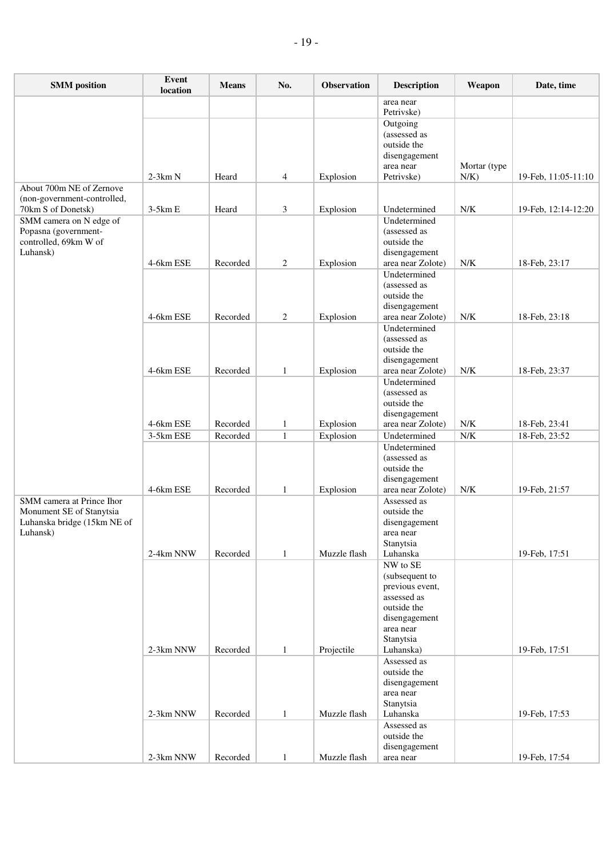| <b>SMM</b> position                               | Event<br>location | <b>Means</b> | No.            | Observation  | <b>Description</b>                 | Weapon       | Date, time          |
|---------------------------------------------------|-------------------|--------------|----------------|--------------|------------------------------------|--------------|---------------------|
|                                                   |                   |              |                |              | area near<br>Petrivske)            |              |                     |
|                                                   |                   |              |                |              | Outgoing                           |              |                     |
|                                                   |                   |              |                |              | (assessed as                       |              |                     |
|                                                   |                   |              |                |              | outside the                        |              |                     |
|                                                   |                   |              |                |              | disengagement<br>area near         | Mortar (type |                     |
|                                                   | $2-3km N$         | Heard        | $\overline{4}$ | Explosion    | Petrivske)                         | $N/K$ )      | 19-Feb, 11:05-11:10 |
| About 700m NE of Zernove                          |                   |              |                |              |                                    |              |                     |
| (non-government-controlled,<br>70km S of Donetsk) | $3-5km E$         |              |                |              | Undetermined                       | N/K          |                     |
| SMM camera on N edge of                           |                   | Heard        | 3              | Explosion    | Undetermined                       |              | 19-Feb, 12:14-12:20 |
| Popasna (government-                              |                   |              |                |              | (assessed as                       |              |                     |
| controlled, 69km W of                             |                   |              |                |              | outside the                        |              |                     |
| Luhansk)                                          | 4-6km ESE         | Recorded     | $\overline{c}$ | Explosion    | disengagement<br>area near Zolote) | N/K          | 18-Feb, 23:17       |
|                                                   |                   |              |                |              | Undetermined                       |              |                     |
|                                                   |                   |              |                |              | (assessed as                       |              |                     |
|                                                   |                   |              |                |              | outside the<br>disengagement       |              |                     |
|                                                   | 4-6km ESE         | Recorded     | $\overline{c}$ | Explosion    | area near Zolote)                  | N/K          | 18-Feb, 23:18       |
|                                                   |                   |              |                |              | Undetermined                       |              |                     |
|                                                   |                   |              |                |              | (assessed as<br>outside the        |              |                     |
|                                                   |                   |              |                |              | disengagement                      |              |                     |
|                                                   | 4-6km ESE         | Recorded     | $\mathbf{1}$   | Explosion    | area near Zolote)                  | ${\rm N/K}$  | 18-Feb, 23:37       |
|                                                   |                   |              |                |              | Undetermined                       |              |                     |
|                                                   |                   |              |                |              | (assessed as<br>outside the        |              |                     |
|                                                   |                   |              |                |              | disengagement                      |              |                     |
|                                                   | 4-6km ESE         | Recorded     | $\mathbf{1}$   | Explosion    | area near Zolote)                  | ${\rm N/K}$  | 18-Feb, 23:41       |
|                                                   | 3-5km ESE         | Recorded     | $\mathbf{1}$   | Explosion    | Undetermined<br>Undetermined       | ${\rm N/K}$  | 18-Feb, 23:52       |
|                                                   |                   |              |                |              | (assessed as                       |              |                     |
|                                                   |                   |              |                |              | outside the                        |              |                     |
|                                                   | 4-6km ESE         | Recorded     | 1              | Explosion    | disengagement<br>area near Zolote) | N/K          | 19-Feb, 21:57       |
| SMM camera at Prince Ihor                         |                   |              |                |              | Assessed as                        |              |                     |
| Monument SE of Stanytsia                          |                   |              |                |              | outside the                        |              |                     |
| Luhanska bridge (15km NE of                       |                   |              |                |              | disengagement                      |              |                     |
| Luhansk)                                          |                   |              |                |              | area near<br>Stanytsia             |              |                     |
|                                                   | 2-4km NNW         | Recorded     | 1              | Muzzle flash | Luhanska                           |              | 19-Feb, 17:51       |
|                                                   |                   |              |                |              | NW to SE                           |              |                     |
|                                                   |                   |              |                |              | (subsequent to<br>previous event,  |              |                     |
|                                                   |                   |              |                |              | assessed as                        |              |                     |
|                                                   |                   |              |                |              | outside the<br>disengagement       |              |                     |
|                                                   |                   |              |                |              | area near                          |              |                     |
|                                                   |                   |              |                |              | Stanytsia                          |              |                     |
|                                                   | 2-3km NNW         | Recorded     | 1              | Projectile   | Luhanska)                          |              | 19-Feb, 17:51       |
|                                                   |                   |              |                |              | Assessed as<br>outside the         |              |                     |
|                                                   |                   |              |                |              | disengagement                      |              |                     |
|                                                   |                   |              |                |              | area near                          |              |                     |
|                                                   | 2-3km NNW         | Recorded     | $\mathbf{1}$   | Muzzle flash | Stanytsia<br>Luhanska              |              | 19-Feb, 17:53       |
|                                                   |                   |              |                |              | Assessed as                        |              |                     |
|                                                   |                   |              |                |              | outside the                        |              |                     |
|                                                   | 2-3km NNW         | Recorded     | 1              | Muzzle flash | disengagement<br>area near         |              | 19-Feb, 17:54       |
|                                                   |                   |              |                |              |                                    |              |                     |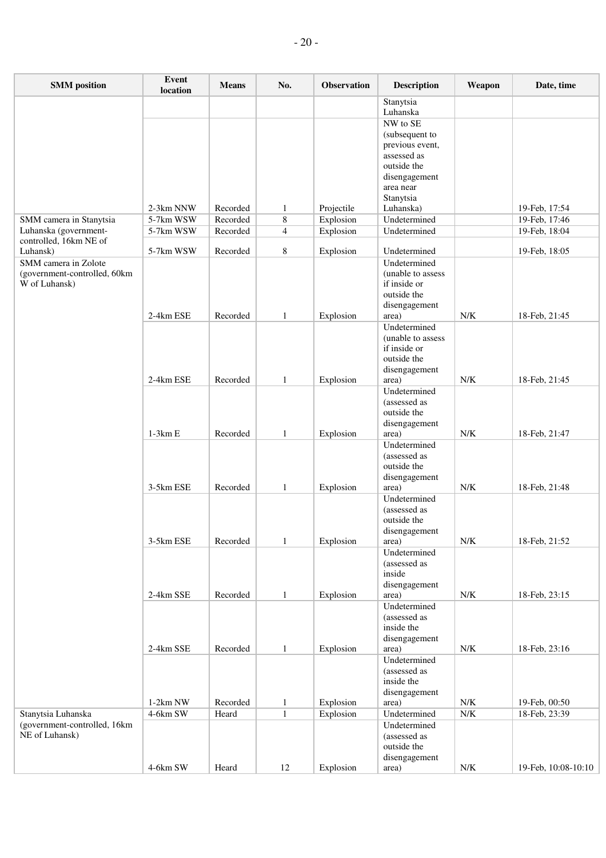| <b>SMM</b> position                                | Event<br>location      | <b>Means</b>         | No.          | Observation            | <b>Description</b>           | Weapon      | Date, time                     |
|----------------------------------------------------|------------------------|----------------------|--------------|------------------------|------------------------------|-------------|--------------------------------|
|                                                    |                        |                      |              |                        | Stanytsia                    |             |                                |
|                                                    |                        |                      |              |                        | Luhanska                     |             |                                |
|                                                    |                        |                      |              |                        | NW to SE<br>(subsequent to   |             |                                |
|                                                    |                        |                      |              |                        | previous event,              |             |                                |
|                                                    |                        |                      |              |                        | assessed as                  |             |                                |
|                                                    |                        |                      |              |                        | outside the                  |             |                                |
|                                                    |                        |                      |              |                        | disengagement                |             |                                |
|                                                    |                        |                      |              |                        | area near                    |             |                                |
|                                                    |                        |                      |              |                        | Stanytsia                    |             |                                |
|                                                    | 2-3km NNW              | Recorded             | 1            | Projectile             | Luhanska)                    |             | 19-Feb, 17:54<br>19-Feb, 17:46 |
| SMM camera in Stanytsia<br>Luhanska (government-   | 5-7km WSW<br>5-7km WSW | Recorded<br>Recorded | 8<br>4       | Explosion<br>Explosion | Undetermined<br>Undetermined |             | 19-Feb, 18:04                  |
| controlled, 16km NE of                             |                        |                      |              |                        |                              |             |                                |
| Luhansk)                                           | 5-7km WSW              | Recorded             | 8            | Explosion              | Undetermined                 |             | 19-Feb, 18:05                  |
| SMM camera in Zolote                               |                        |                      |              |                        | Undetermined                 |             |                                |
| (government-controlled, 60km                       |                        |                      |              |                        | (unable to assess)           |             |                                |
| W of Luhansk)                                      |                        |                      |              |                        | if inside or<br>outside the  |             |                                |
|                                                    |                        |                      |              |                        | disengagement                |             |                                |
|                                                    | 2-4km ESE              | Recorded             | $\mathbf{1}$ | Explosion              | area)                        | N/K         | 18-Feb, 21:45                  |
|                                                    |                        |                      |              |                        | Undetermined                 |             |                                |
|                                                    |                        |                      |              |                        | (unable to assess)           |             |                                |
|                                                    |                        |                      |              |                        | if inside or                 |             |                                |
|                                                    |                        |                      |              |                        | outside the                  |             |                                |
|                                                    | 2-4km ESE              | Recorded             | $\mathbf{1}$ | Explosion              | disengagement<br>area)       | ${\rm N/K}$ | 18-Feb, 21:45                  |
|                                                    |                        |                      |              |                        | Undetermined                 |             |                                |
|                                                    |                        |                      |              |                        | (assessed as                 |             |                                |
|                                                    |                        |                      |              |                        | outside the                  |             |                                |
|                                                    |                        |                      |              |                        | disengagement                |             |                                |
|                                                    | $1-3km E$              | Recorded             | $\mathbf{1}$ | Explosion              | area)                        | ${\rm N/K}$ | 18-Feb, 21:47                  |
|                                                    |                        |                      |              |                        | Undetermined                 |             |                                |
|                                                    |                        |                      |              |                        | (assessed as<br>outside the  |             |                                |
|                                                    |                        |                      |              |                        | disengagement                |             |                                |
|                                                    | 3-5km ESE              | Recorded             | $\mathbf{1}$ | Explosion              | area)                        | N/K         | 18-Feb, 21:48                  |
|                                                    |                        |                      |              |                        | Undetermined                 |             |                                |
|                                                    |                        |                      |              |                        | (assessed as                 |             |                                |
|                                                    |                        |                      |              |                        | outside the                  |             |                                |
|                                                    | 3-5km ESE              |                      |              |                        | disengagement                |             |                                |
|                                                    |                        | Recorded             | $\mathbf{1}$ | Explosion              | area)<br>Undetermined        | ${\rm N/K}$ | 18-Feb, 21:52                  |
|                                                    |                        |                      |              |                        | (assessed as                 |             |                                |
|                                                    |                        |                      |              |                        | inside                       |             |                                |
|                                                    |                        |                      |              |                        | disengagement                |             |                                |
|                                                    | 2-4km SSE              | Recorded             | $\mathbf{1}$ | Explosion              | area)                        | ${\rm N/K}$ | 18-Feb, 23:15                  |
|                                                    |                        |                      |              |                        | Undetermined                 |             |                                |
|                                                    |                        |                      |              |                        | (assessed as                 |             |                                |
|                                                    |                        |                      |              |                        | inside the                   |             |                                |
|                                                    | 2-4km SSE              | Recorded             | $\mathbf{1}$ | Explosion              | disengagement<br>area)       | ${\rm N/K}$ | 18-Feb, 23:16                  |
|                                                    |                        |                      |              |                        | Undetermined                 |             |                                |
|                                                    |                        |                      |              |                        | (assessed as                 |             |                                |
|                                                    |                        |                      |              |                        | inside the                   |             |                                |
|                                                    |                        |                      |              |                        | disengagement                |             |                                |
|                                                    | $1-2km$ NW             | Recorded             | $\mathbf{1}$ | Explosion              | area)                        | ${\rm N/K}$ | 19-Feb, 00:50                  |
| Stanytsia Luhanska<br>(government-controlled, 16km | 4-6km SW               | Heard                | $\mathbf{1}$ | Explosion              | Undetermined                 | ${\rm N/K}$ | 18-Feb, 23:39                  |
| NE of Luhansk)                                     |                        |                      |              |                        | Undetermined<br>(assessed as |             |                                |
|                                                    |                        |                      |              |                        | outside the                  |             |                                |
|                                                    |                        |                      |              |                        | disengagement                |             |                                |
|                                                    | 4-6km SW               | Heard                | 12           | Explosion              | area)                        | ${\rm N/K}$ | 19-Feb, 10:08-10:10            |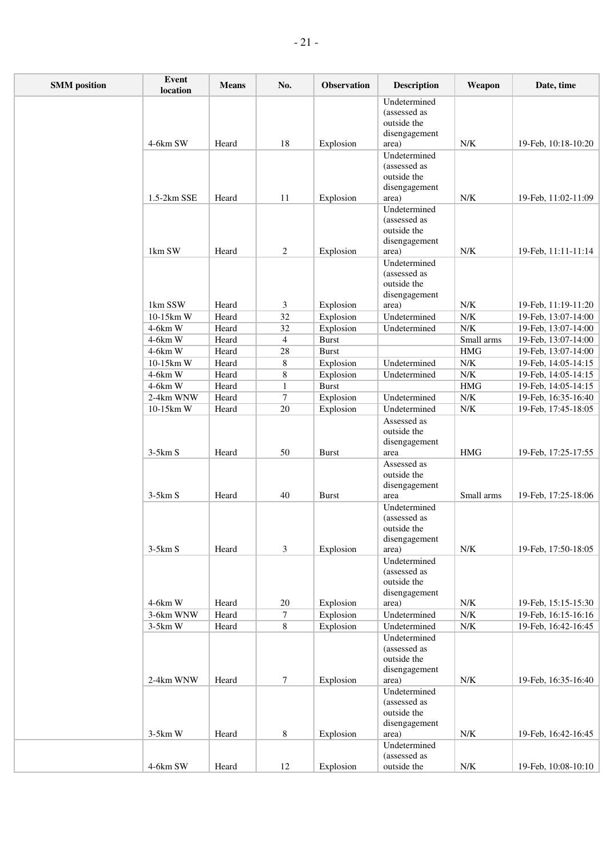| <b>SMM</b> position | <b>Event</b><br>location | <b>Means</b> | No.            | Observation            | <b>Description</b>                                                    | Weapon               | Date, time                                 |
|---------------------|--------------------------|--------------|----------------|------------------------|-----------------------------------------------------------------------|----------------------|--------------------------------------------|
|                     | 4-6km SW                 |              | 18             |                        | Undetermined<br>(assessed as<br>outside the<br>disengagement          | N/K                  |                                            |
|                     |                          | Heard        |                | Explosion              | area)<br>Undetermined                                                 |                      | 19-Feb, 10:18-10:20                        |
|                     |                          |              |                |                        | (assessed as<br>outside the<br>disengagement                          |                      |                                            |
|                     | 1.5-2km SSE              | Heard        | 11             | Explosion              | area)                                                                 | ${\rm N/K}$          | 19-Feb, 11:02-11:09                        |
|                     |                          |              |                |                        | Undetermined<br>(assessed as<br>outside the<br>disengagement          |                      |                                            |
|                     | 1km SW                   | Heard        | $\overline{c}$ | Explosion              | area)                                                                 | N/K                  | 19-Feb, 11:11-11:14                        |
|                     | 1km SSW                  | Heard        | 3              | Explosion              | Undetermined<br>(assessed as<br>outside the<br>disengagement<br>area) | N/K                  | 19-Feb, 11:19-11:20                        |
|                     | 10-15km W                | Heard        | 32             | Explosion              | Undetermined                                                          | ${\rm N/K}$          | 19-Feb, 13:07-14:00                        |
|                     | 4-6km W                  | Heard        | 32             | Explosion              | Undetermined                                                          | N/K                  | 19-Feb, 13:07-14:00                        |
|                     | 4-6km W                  | Heard        | $\overline{4}$ | <b>Burst</b>           |                                                                       | Small arms           | 19-Feb, 13:07-14:00                        |
|                     | 4-6km W                  | Heard        | 28             | <b>Burst</b>           |                                                                       | $\rm HMG$            | 19-Feb, 13:07-14:00                        |
|                     | 10-15km W                | Heard        | 8              | Explosion              | Undetermined                                                          | ${\rm N/K}$          | 19-Feb, 14:05-14:15                        |
|                     | 4-6km W                  | Heard        | $\,8$          | Explosion              | Undetermined                                                          | N/K                  | 19-Feb, 14:05-14:15                        |
|                     | 4-6km W                  | Heard        | $\mathbf{1}$   | <b>Burst</b>           |                                                                       | $\overline{\rm HMG}$ | 19-Feb, 14:05-14:15                        |
|                     | 2-4km WNW                | Heard        | $\tau$         | Explosion              | Undetermined                                                          | N/K                  | 19-Feb, 16:35-16:40                        |
|                     | 10-15km W                | Heard        | 20             | Explosion              | Undetermined                                                          | ${\rm N/K}$          | 19-Feb, 17:45-18:05                        |
|                     | $3-5km S$                | Heard        | 50             | <b>Burst</b>           | Assessed as<br>outside the<br>disengagement<br>area                   | <b>HMG</b>           | 19-Feb, 17:25-17:55                        |
|                     | $3-5km S$                | Heard        | 40             | <b>Burst</b>           | Assessed as<br>outside the<br>disengagement<br>area                   | Small arms           | 19-Feb, 17:25-18:06                        |
|                     | $3-5km S$                | Heard        | $\mathfrak{Z}$ | Explosion              | Undetermined<br>(assessed as<br>outside the<br>disengagement<br>area) | ${\rm N/K}$          | 19-Feb, 17:50-18:05                        |
|                     | 4-6km W                  | Heard        |                |                        | Undetermined<br>(assessed as<br>outside the<br>disengagement          | ${\rm N/K}$          |                                            |
|                     | 3-6km WNW                | Heard        | 20<br>$\tau$   | Explosion<br>Explosion | area)<br>Undetermined                                                 | ${\rm N/K}$          | 19-Feb, 15:15-15:30<br>19-Feb, 16:15-16:16 |
|                     | $3-5km$ W                | Heard        | $8\,$          | Explosion              | Undetermined                                                          | ${\rm N/K}$          | 19-Feb, 16:42-16:45                        |
|                     |                          |              |                |                        | Undetermined<br>(assessed as<br>outside the<br>disengagement          |                      |                                            |
|                     | 2-4km WNW                | Heard        | $\tau$         | Explosion              | area)<br>Undetermined<br>(assessed as<br>outside the<br>disengagement | ${\rm N/K}$          | 19-Feb, 16:35-16:40                        |
|                     | $3-5km$ W                | Heard        | 8              | Explosion              | area)                                                                 | N/K                  | 19-Feb, 16:42-16:45                        |
|                     |                          |              |                |                        | Undetermined<br>(assessed as                                          |                      |                                            |
|                     | 4-6km SW                 | Heard        | 12             | Explosion              | outside the                                                           | ${\rm N/K}$          | 19-Feb, 10:08-10:10                        |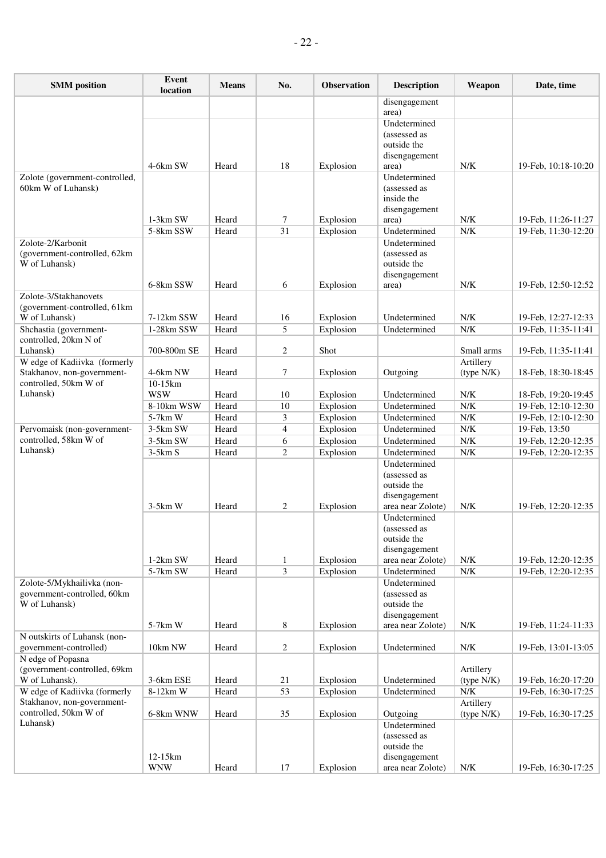| <b>SMM</b> position                               | Event<br>location     | <b>Means</b>   | No.            | <b>Observation</b>     | <b>Description</b>           | Weapon                  | Date, time                                 |
|---------------------------------------------------|-----------------------|----------------|----------------|------------------------|------------------------------|-------------------------|--------------------------------------------|
|                                                   |                       |                |                |                        | disengagement<br>area)       |                         |                                            |
|                                                   |                       |                |                |                        | Undetermined                 |                         |                                            |
|                                                   |                       |                |                |                        | (assessed as                 |                         |                                            |
|                                                   |                       |                |                |                        | outside the                  |                         |                                            |
|                                                   | 4-6km SW              | Heard          | 18             | Explosion              | disengagement<br>area)       | N/K                     | 19-Feb, 10:18-10:20                        |
| Zolote (government-controlled,                    |                       |                |                |                        | Undetermined                 |                         |                                            |
| 60km W of Luhansk)                                |                       |                |                |                        | (assessed as                 |                         |                                            |
|                                                   |                       |                |                |                        | inside the                   |                         |                                            |
|                                                   | 1-3km SW              | Heard          | 7              | Explosion              | disengagement<br>area)       | N/K                     | 19-Feb, 11:26-11:27                        |
|                                                   | 5-8km SSW             | Heard          | 31             | Explosion              | Undetermined                 | ${\rm N/K}$             | 19-Feb, 11:30-12:20                        |
| Zolote-2/Karbonit                                 |                       |                |                |                        | Undetermined                 |                         |                                            |
| (government-controlled, 62km                      |                       |                |                |                        | (assessed as                 |                         |                                            |
| W of Luhansk)                                     |                       |                |                |                        | outside the                  |                         |                                            |
|                                                   | 6-8km SSW             | Heard          | 6              | Explosion              | disengagement<br>area)       | N/K                     | 19-Feb, 12:50-12:52                        |
| Zolote-3/Stakhanovets                             |                       |                |                |                        |                              |                         |                                            |
| (government-controlled, 61km                      |                       |                |                |                        |                              |                         |                                            |
| W of Luhansk)                                     | 7-12km SSW            | Heard          | 16             | Explosion              | Undetermined                 | N/K                     | 19-Feb, 12:27-12:33                        |
| Shchastia (government-                            | 1-28km SSW            | Heard          | 5              | Explosion              | Undetermined                 | N/K                     | 19-Feb, 11:35-11:41                        |
| controlled, 20km N of<br>Luhansk)                 | 700-800m SE           | Heard          | 2              | Shot                   |                              | Small arms              | 19-Feb, 11:35-11:41                        |
| W edge of Kadiivka (formerly                      |                       |                |                |                        |                              | Artillery               |                                            |
| Stakhanov, non-government-                        | 4-6km NW              | Heard          | 7              | Explosion              | Outgoing                     | (type N/K)              | 18-Feb, 18:30-18:45                        |
| controlled, 50km W of                             | $10-15km$             |                |                |                        |                              |                         |                                            |
| Luhansk)                                          | <b>WSW</b>            | Heard          | 10             | Explosion              | Undetermined                 | N/K                     | 18-Feb, 19:20-19:45                        |
|                                                   | 8-10km WSW<br>5-7km W | Heard<br>Heard | 10<br>3        | Explosion<br>Explosion | Undetermined<br>Undetermined | N/K<br>${\rm N/K}$      | 19-Feb, 12:10-12:30<br>19-Feb, 12:10-12:30 |
| Pervomaisk (non-government-                       | $3-5km$ SW            | Heard          | $\overline{4}$ | Explosion              | Undetermined                 | N/K                     | 19-Feb, 13:50                              |
| controlled, 58km W of                             | 3-5km SW              | Heard          | 6              | Explosion              | Undetermined                 | N/K                     | 19-Feb, 12:20-12:35                        |
| Luhansk)                                          | $3-5km S$             | Heard          | $\overline{2}$ | Explosion              | Undetermined                 | N/K                     | 19-Feb, 12:20-12:35                        |
|                                                   |                       |                |                |                        | Undetermined                 |                         |                                            |
|                                                   |                       |                |                |                        | (assessed as                 |                         |                                            |
|                                                   |                       |                |                |                        | outside the<br>disengagement |                         |                                            |
|                                                   | $3-5km$ W             | Heard          | $\overline{2}$ | Explosion              | area near Zolote)            | N/K                     | 19-Feb, 12:20-12:35                        |
|                                                   |                       |                |                |                        | Undetermined                 |                         |                                            |
|                                                   |                       |                |                |                        | (assessed as                 |                         |                                            |
|                                                   |                       |                |                |                        | outside the<br>disengagement |                         |                                            |
|                                                   | 1-2km SW              | Heard          | 1              | Explosion              | area near Zolote)            | ${\rm N/K}$             | 19-Feb, 12:20-12:35                        |
|                                                   | 5-7km SW              | Heard          | $\mathfrak{Z}$ | Explosion              | Undetermined                 | ${\rm N/K}$             | 19-Feb, 12:20-12:35                        |
| Zolote-5/Mykhailivka (non-                        |                       |                |                |                        | Undetermined                 |                         |                                            |
| government-controlled, 60km                       |                       |                |                |                        | (assessed as                 |                         |                                            |
| W of Luhansk)                                     |                       |                |                |                        | outside the<br>disengagement |                         |                                            |
|                                                   | 5-7km W               | Heard          | 8              | Explosion              | area near Zolote)            | ${\rm N/K}$             | 19-Feb, 11:24-11:33                        |
| N outskirts of Luhansk (non-                      |                       |                |                |                        |                              |                         |                                            |
| government-controlled)                            | 10km NW               | Heard          | $\overline{c}$ | Explosion              | Undetermined                 | ${\rm N/K}$             | 19-Feb, 13:01-13:05                        |
| N edge of Popasna<br>(government-controlled, 69km |                       |                |                |                        |                              |                         |                                            |
| W of Luhansk).                                    | 3-6km ESE             | Heard          | 21             | Explosion              | Undetermined                 | Artillery<br>(type N/K) | 19-Feb, 16:20-17:20                        |
| W edge of Kadiivka (formerly                      | 8-12km W              | Heard          | 53             | Explosion              | Undetermined                 | N/K                     | 19-Feb, 16:30-17:25                        |
| Stakhanov, non-government-                        |                       |                |                |                        |                              | Artillery               |                                            |
| controlled, 50km W of                             | 6-8km WNW             | Heard          | 35             | Explosion              | Outgoing                     | (type N/K)              | 19-Feb, 16:30-17:25                        |
| Luhansk)                                          |                       |                |                |                        | Undetermined                 |                         |                                            |
|                                                   |                       |                |                |                        | (assessed as<br>outside the  |                         |                                            |
|                                                   | 12-15km               |                |                |                        | disengagement                |                         |                                            |
|                                                   | <b>WNW</b>            | Heard          | 17             | Explosion              | area near Zolote)            | ${\rm N/K}$             | 19-Feb, 16:30-17:25                        |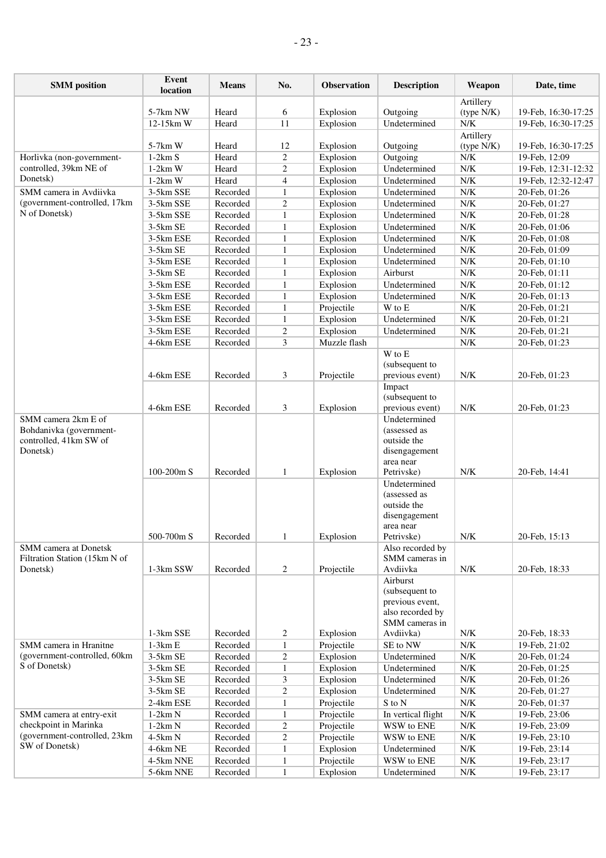| <b>SMM</b> position                            | Event<br>location      | <b>Means</b>         | No.                          | <b>Observation</b>     | <b>Description</b>           | Weapon                                                                                                                     | Date, time                     |
|------------------------------------------------|------------------------|----------------------|------------------------------|------------------------|------------------------------|----------------------------------------------------------------------------------------------------------------------------|--------------------------------|
|                                                |                        |                      |                              |                        |                              | Artillery                                                                                                                  |                                |
|                                                | 5-7km NW               | Heard                | 6                            | Explosion              | Outgoing                     | (type N/K)                                                                                                                 | 19-Feb, 16:30-17:25            |
|                                                | 12-15km W              | Heard                | 11                           | Explosion              | Undetermined                 | N/K                                                                                                                        | 19-Feb, 16:30-17:25            |
|                                                |                        |                      |                              |                        |                              | Artillery                                                                                                                  |                                |
|                                                | 5-7km W                | Heard                | 12                           | Explosion              | Outgoing                     | (type N/K)                                                                                                                 | 19-Feb, 16:30-17:25            |
| Horlivka (non-government-                      | $1-2km S$              | Heard                | $\overline{c}$               | Explosion              | Outgoing                     | N/K                                                                                                                        | 19-Feb, 12:09                  |
| controlled, 39km NE of                         | $1-2km$ W              | Heard                | $\overline{c}$               | Explosion              | Undetermined                 | $\ensuremath{\text{N}}\xspace/\ensuremath{\text{K}}\xspace$                                                                | 19-Feb, 12:31-12:32            |
| Donetsk)                                       | $1-2km$ W              | Heard                | $\overline{\mathcal{A}}$     | Explosion              | Undetermined                 | $\ensuremath{\text{N}}\xspace/\ensuremath{\text{K}}\xspace$                                                                | 19-Feb, 12:32-12:47            |
| SMM camera in Avdiivka                         | 3-5km SSE              | Recorded             | $\mathbf{1}$                 | Explosion              | Undetermined                 | N/K                                                                                                                        | 20-Feb, 01:26                  |
| (government-controlled, 17km                   | 3-5km SSE              | Recorded             | $\overline{c}$               | Explosion              | Undetermined                 | ${\rm N/K}$                                                                                                                | 20-Feb, 01:27                  |
| N of Donetsk)                                  | 3-5km SSE              | Recorded             | $\mathbf{1}$                 | Explosion              | Undetermined                 | N/K                                                                                                                        | 20-Feb, 01:28                  |
|                                                | 3-5km SE               | Recorded             | $\mathbf{1}$                 | Explosion              | Undetermined                 | N/K                                                                                                                        | 20-Feb, 01:06                  |
|                                                | 3-5km ESE              | Recorded             | $\mathbf{1}$                 | Explosion              | Undetermined                 | N/K                                                                                                                        | 20-Feb, 01:08                  |
|                                                | 3-5km SE               | Recorded             | $\mathbf{1}$                 | Explosion              | Undetermined                 | $\ensuremath{\text{N}}\xspace/\ensuremath{\text{K}}\xspace$                                                                | 20-Feb, 01:09                  |
|                                                | 3-5km ESE              | Recorded             | $\mathbf{1}$                 | Explosion              | Undetermined                 | $\ensuremath{\text{N}}\xspace/\ensuremath{\text{K}}\xspace$                                                                | 20-Feb, 01:10                  |
|                                                | 3-5km SE               | Recorded             | $\mathbf{1}$                 | Explosion              | Airburst                     | N/K                                                                                                                        | 20-Feb, 01:11                  |
|                                                | 3-5km ESE              | Recorded             | $\mathbf{1}$                 | Explosion              | Undetermined                 | $\ensuremath{\text{N}}\xspace/\ensuremath{\text{K}}\xspace$<br>$\ensuremath{\text{N}}\xspace/\ensuremath{\text{K}}\xspace$ | 20-Feb, 01:12                  |
|                                                | 3-5km ESE<br>3-5km ESE | Recorded<br>Recorded | $\mathbf{1}$<br>$\mathbf{1}$ | Explosion              | Undetermined<br>W to E       | ${\rm N/K}$                                                                                                                | 20-Feb, 01:13                  |
|                                                | 3-5km ESE              | Recorded             | $\mathbf{1}$                 | Projectile             | Undetermined                 | N/K                                                                                                                        | 20-Feb, 01:21                  |
|                                                | 3-5km ESE              | Recorded             |                              | Explosion<br>Explosion | Undetermined                 | N/K                                                                                                                        | 20-Feb, 01:21                  |
|                                                | 4-6km ESE              | Recorded             | $\overline{c}$<br>3          | Muzzle flash           |                              | ${\rm N/K}$                                                                                                                | 20-Feb, 01:21<br>20-Feb, 01:23 |
|                                                |                        |                      |                              |                        | W to E                       |                                                                                                                            |                                |
|                                                |                        |                      |                              |                        | (subsequent to               |                                                                                                                            |                                |
|                                                | 4-6km ESE              | Recorded             | 3                            | Projectile             | previous event)              | ${\rm N/K}$                                                                                                                | 20-Feb, 01:23                  |
|                                                |                        |                      |                              |                        | Impact                       |                                                                                                                            |                                |
|                                                |                        |                      |                              |                        | (subsequent to               |                                                                                                                            |                                |
|                                                | 4-6km ESE              | Recorded             | 3                            | Explosion              | previous event)              | N/K                                                                                                                        | 20-Feb, 01:23                  |
| SMM camera 2km E of<br>Bohdanivka (government- |                        |                      |                              |                        | Undetermined<br>(assessed as |                                                                                                                            |                                |
| controlled, 41km SW of                         |                        |                      |                              |                        | outside the                  |                                                                                                                            |                                |
| Donetsk)                                       |                        |                      |                              |                        | disengagement                |                                                                                                                            |                                |
|                                                | 100-200m S             | Recorded             | $\mathbf{1}$                 |                        | area near<br>Petrivske)      | N/K                                                                                                                        |                                |
|                                                |                        |                      |                              | Explosion              | Undetermined                 |                                                                                                                            | 20-Feb, 14:41                  |
|                                                |                        |                      |                              |                        | (assessed as                 |                                                                                                                            |                                |
|                                                |                        |                      |                              |                        | outside the                  |                                                                                                                            |                                |
|                                                |                        |                      |                              |                        | disengagement                |                                                                                                                            |                                |
|                                                |                        |                      |                              |                        | area near                    |                                                                                                                            |                                |
|                                                | 500-700m S             | Recorded             | 1                            | Explosion              | Petrivske)                   | ${\rm N/K}$                                                                                                                | 20-Feb, 15:13                  |
| SMM camera at Donetsk                          |                        |                      |                              |                        | Also recorded by             |                                                                                                                            |                                |
| Filtration Station (15km N of                  |                        |                      |                              |                        | SMM cameras in               |                                                                                                                            |                                |
| Donetsk)                                       | 1-3km SSW              | Recorded             | 2                            | Projectile             | Avdiivka                     | N/K                                                                                                                        | 20-Feb, 18:33                  |
|                                                |                        |                      |                              |                        | Airburst<br>(subsequent to   |                                                                                                                            |                                |
|                                                |                        |                      |                              |                        | previous event,              |                                                                                                                            |                                |
|                                                |                        |                      |                              |                        | also recorded by             |                                                                                                                            |                                |
|                                                |                        |                      |                              |                        | SMM cameras in               |                                                                                                                            |                                |
|                                                | 1-3km SSE              | Recorded             | 2                            | Explosion              | Avdiivka)                    | N/K                                                                                                                        | 20-Feb, 18:33                  |
| SMM camera in Hranitne                         | $1-3km E$              | Recorded             | $\mathbf{1}$                 | Projectile             | SE to NW                     | ${\rm N/K}$                                                                                                                | 19-Feb, 21:02                  |
| (government-controlled, 60km)                  | 3-5km SE               | Recorded             | $\overline{c}$               | Explosion              | Undetermined                 | ${\rm N/K}$                                                                                                                | 20-Feb, 01:24                  |
| S of Donetsk)                                  | 3-5km SE               | Recorded             | $\mathbf{1}$                 | Explosion              | Undetermined                 | ${\rm N/K}$                                                                                                                | 20-Feb, 01:25                  |
|                                                | 3-5km SE               | Recorded             | 3                            | Explosion              | Undetermined                 | N/K                                                                                                                        | 20-Feb, 01:26                  |
|                                                | 3-5km SE               | Recorded             | $\overline{c}$               | Explosion              | Undetermined                 | ${\rm N/K}$                                                                                                                | 20-Feb, 01:27                  |
|                                                | 2-4km ESE              | Recorded             | $\mathbf{1}$                 | Projectile             | S to N                       | ${\rm N/K}$                                                                                                                | 20-Feb, 01:37                  |
| SMM camera at entry-exit                       | $1-2km N$              | Recorded             | 1                            | Projectile             | In vertical flight           | ${\rm N/K}$                                                                                                                | 19-Feb, 23:06                  |
| checkpoint in Marinka                          | $1-2km N$              | Recorded             | $\overline{c}$               | Projectile             | WSW to ENE                   | $\ensuremath{\text{N/K}}$                                                                                                  | 19-Feb, 23:09                  |
| (government-controlled, 23km                   | $4-5km N$              | Recorded             | $\overline{c}$               | Projectile             | WSW to ENE                   | ${\rm N/K}$                                                                                                                | 19-Feb, 23:10                  |
| SW of Donetsk)                                 | 4-6km NE               | Recorded             | $\mathbf{1}$                 | Explosion              | Undetermined                 | ${\rm N/K}$                                                                                                                | 19-Feb, 23:14                  |
|                                                | 4-5km NNE              | Recorded             | $\mathbf{1}$                 | Projectile             | WSW to ENE                   | ${\rm N/K}$                                                                                                                | 19-Feb, 23:17                  |
|                                                | 5-6km NNE              | Recorded             | $\mathbf{1}$                 | Explosion              | Undetermined                 | $\ensuremath{\text{N/K}}$                                                                                                  | 19-Feb, 23:17                  |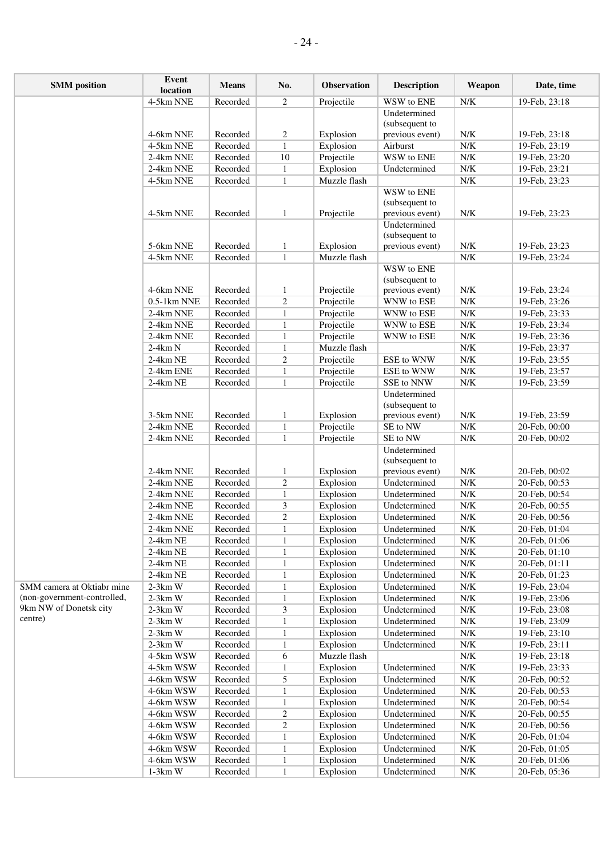| <b>SMM</b> position         | Event<br>location      | <b>Means</b> | No.                          | Observation               | <b>Description</b>   | Weapon                                                      | Date, time                     |
|-----------------------------|------------------------|--------------|------------------------------|---------------------------|----------------------|-------------------------------------------------------------|--------------------------------|
|                             | 4-5km NNE              | Recorded     | $\overline{c}$               | Projectile                | WSW to ENE           | N/K                                                         | 19-Feb, 23:18                  |
|                             |                        |              |                              |                           | Undetermined         |                                                             |                                |
|                             |                        |              |                              |                           | (subsequent to       |                                                             |                                |
|                             | 4-6km NNE              | Recorded     | $\overline{c}$               | Explosion                 | previous event)      | ${\rm N/K}$                                                 | 19-Feb, 23:18                  |
|                             | 4-5km NNE              | Recorded     | $\mathbf{1}$                 | Explosion                 | Airburst             | N/K                                                         | 19-Feb, 23:19                  |
|                             | 2-4km NNE              | Recorded     | 10                           | Projectile                | WSW to ENE           | ${\rm N/K}$                                                 | 19-Feb, 23:20                  |
|                             | 2-4km NNE              | Recorded     | $\mathbf{1}$                 | Explosion<br>Muzzle flash | Undetermined         | ${\rm N/K}$<br>${\rm N/K}$                                  | 19-Feb, 23:21                  |
|                             | 4-5km NNE              | Recorded     | $\mathbf{1}$                 |                           | WSW to ENE           |                                                             | 19-Feb, 23:23                  |
|                             |                        |              |                              |                           | (subsequent to       |                                                             |                                |
|                             | 4-5km NNE              | Recorded     | $\mathbf{1}$                 | Projectile                | previous event)      | ${\rm N/K}$                                                 | 19-Feb, 23:23                  |
|                             |                        |              |                              |                           | Undetermined         |                                                             |                                |
|                             |                        |              |                              |                           | (subsequent to       |                                                             |                                |
|                             | 5-6km NNE              | Recorded     | $\mathbf{1}$                 | Explosion                 | previous event)      | N/K                                                         | 19-Feb, 23:23                  |
|                             | 4-5km NNE              | Recorded     | $\mathbf{1}$                 | Muzzle flash              |                      | $\ensuremath{\text{N/K}}$                                   | 19-Feb, 23:24                  |
|                             |                        |              |                              |                           | WSW to ENE           |                                                             |                                |
|                             |                        |              |                              |                           | (subsequent to       |                                                             |                                |
|                             | 4-6km NNE              | Recorded     | $\mathbf{1}$                 | Projectile                | previous event)      | ${\rm N/K}$                                                 | 19-Feb, 23:24                  |
|                             | $0.5-1$ km NNE         | Recorded     | $\sqrt{2}$                   | Projectile                | WNW to ESE           | ${\rm N/K}$                                                 | 19-Feb, 23:26                  |
|                             | 2-4km NNE              | Recorded     | $\mathbf{1}$                 | Projectile                | WNW to ESE           | N/K                                                         | 19-Feb, 23:33                  |
|                             | 2-4km NNE              | Recorded     | $\mathbf{1}$                 | Projectile                | WNW to ESE           | N/K                                                         | 19-Feb, 23:34                  |
|                             | 2-4km NNE              | Recorded     | $\mathbf{1}$                 | Projectile                | WNW to ESE           | ${\rm N/K}$                                                 | 19-Feb, 23:36                  |
|                             | $2-4km N$              | Recorded     | $\mathbf{1}$                 | Muzzle flash              |                      | ${\rm N/K}$                                                 | 19-Feb, 23:37                  |
|                             | 2-4km NE               | Recorded     | $\overline{c}$               | Projectile                | ESE to WNW           | ${\rm N/K}$                                                 | 19-Feb, 23:55                  |
|                             | 2-4km ENE              | Recorded     | $\mathbf{1}$                 | Projectile                | ESE to WNW           | ${\rm N/K}$                                                 | 19-Feb, 23:57                  |
|                             | 2-4km NE               | Recorded     | $\mathbf{1}$                 | Projectile                | SSE to NNW           | ${\rm N/K}$                                                 | 19-Feb, 23:59                  |
|                             |                        |              |                              |                           | Undetermined         |                                                             |                                |
|                             |                        | Recorded     |                              |                           | (subsequent to       |                                                             |                                |
|                             | 3-5km NNE<br>2-4km NNE | Recorded     | $\mathbf{1}$                 | Explosion<br>Projectile   | previous event)      | N/K<br>${\rm N/K}$                                          | 19-Feb, 23:59                  |
|                             | 2-4km NNE              | Recorded     | $\mathbf{1}$<br>$\mathbf{1}$ | Projectile                | SE to NW<br>SE to NW | N/K                                                         | 20-Feb, 00:00<br>20-Feb, 00:02 |
|                             |                        |              |                              |                           | Undetermined         |                                                             |                                |
|                             |                        |              |                              |                           | (subsequent to       |                                                             |                                |
|                             | 2-4km NNE              | Recorded     | 1                            | Explosion                 | previous event)      | ${\rm N/K}$                                                 | 20-Feb, 00:02                  |
|                             | 2-4km NNE              | Recorded     | $\overline{c}$               | Explosion                 | Undetermined         | ${\rm N/K}$                                                 | 20-Feb, 00:53                  |
|                             | 2-4km NNE              | Recorded     | $\mathbf{1}$                 | Explosion                 | Undetermined         | ${\rm N/K}$                                                 | 20-Feb, 00:54                  |
|                             | 2-4km NNE              | Recorded     | 3                            | Explosion                 | Undetermined         | ${\rm N/K}$                                                 | 20-Feb, 00:55                  |
|                             | 2-4km NNE              | Recorded     | $\boldsymbol{2}$             | Explosion                 | Undetermined         | ${\rm N/K}$                                                 | 20-Feb, 00:56                  |
|                             | 2-4km NNE              | Recorded     | $\mathbf{1}$                 | Explosion                 | Undetermined         | N/K                                                         | 20-Feb, 01:04                  |
|                             | 2-4km NE               | Recorded     | $\mathbf{1}$                 | Explosion                 | Undetermined         | ${\rm N/K}$                                                 | 20-Feb, 01:06                  |
|                             | 2-4km NE               | Recorded     | $\mathbf{1}$                 | Explosion                 | Undetermined         | ${\rm N/K}$                                                 | 20-Feb, 01:10                  |
|                             | 2-4km NE               | Recorded     | $\mathbf{1}$                 | Explosion                 | Undetermined         | ${\rm N/K}$                                                 | 20-Feb, 01:11                  |
|                             | 2-4km NE               | Recorded     | $\mathbf{1}$                 | Explosion                 | Undetermined         | ${\rm N/K}$                                                 | 20-Feb, 01:23                  |
| SMM camera at Oktiabr mine  | $2-3km$ W              | Recorded     | $\mathbf{1}$                 | Explosion                 | Undetermined         | N/K                                                         | 19-Feb, 23:04                  |
| (non-government-controlled, | $2-3km$ W              | Recorded     | 1                            | Explosion                 | Undetermined         | N/K                                                         | 19-Feb, 23:06                  |
| 9km NW of Donetsk city      | $2-3km$ W              | Recorded     | 3                            | Explosion                 | Undetermined         | N/K                                                         | 19-Feb, 23:08                  |
| centre)                     | $2-3km$ W              | Recorded     | 1                            | Explosion                 | Undetermined         | N/K                                                         | 19-Feb, 23:09                  |
|                             | $2-3km$ W              | Recorded     | $\mathbf{1}$                 | Explosion                 | Undetermined         | ${\rm N/K}$                                                 | 19-Feb, 23:10                  |
|                             | $2-3km$ W              | Recorded     | $\mathbf{1}$                 | Explosion                 | Undetermined         | ${\rm N/K}$                                                 | 19-Feb, 23:11                  |
|                             | 4-5km WSW              | Recorded     | 6                            | Muzzle flash              |                      | ${\rm N/K}$                                                 | 19-Feb, 23:18                  |
|                             | 4-5km WSW              | Recorded     | $\mathbf{1}$                 | Explosion                 | Undetermined         | N/K                                                         | 19-Feb, 23:33                  |
|                             | 4-6km WSW              | Recorded     | 5                            | Explosion                 | Undetermined         | N/K                                                         | 20-Feb, 00:52                  |
|                             | 4-6km WSW              | Recorded     | $\mathbf{1}$                 | Explosion                 | Undetermined         | N/K                                                         | 20-Feb, 00:53                  |
|                             | 4-6km WSW              | Recorded     | $\mathbf{1}$                 | Explosion                 | Undetermined         | N/K                                                         | 20-Feb, 00:54                  |
|                             | 4-6km WSW              | Recorded     | $\overline{\mathbf{c}}$      | Explosion                 | Undetermined         | $N/K$                                                       | 20-Feb, 00:55                  |
|                             | 4-6km WSW              | Recorded     | $\overline{c}$               | Explosion                 | Undetermined         | $\ensuremath{\text{N}}\xspace/\ensuremath{\text{K}}\xspace$ | 20-Feb, 00:56                  |

4-6km WSW Recorded 1 Explosion Undetermined N/K 20-Feb, 01:04 4-6km WSW Recorded 1 Explosion Undetermined N/K 20-Feb, 01:05 4-6km WSW Recorded 1 Explosion Undetermined N/K 20-Feb, 01:06<br>1-3km W Recorded 1 Explosion Undetermined N/K 20-Feb, 05:36

Recorded 1 Explosion Undetermined N/K 20-Feb, 05:36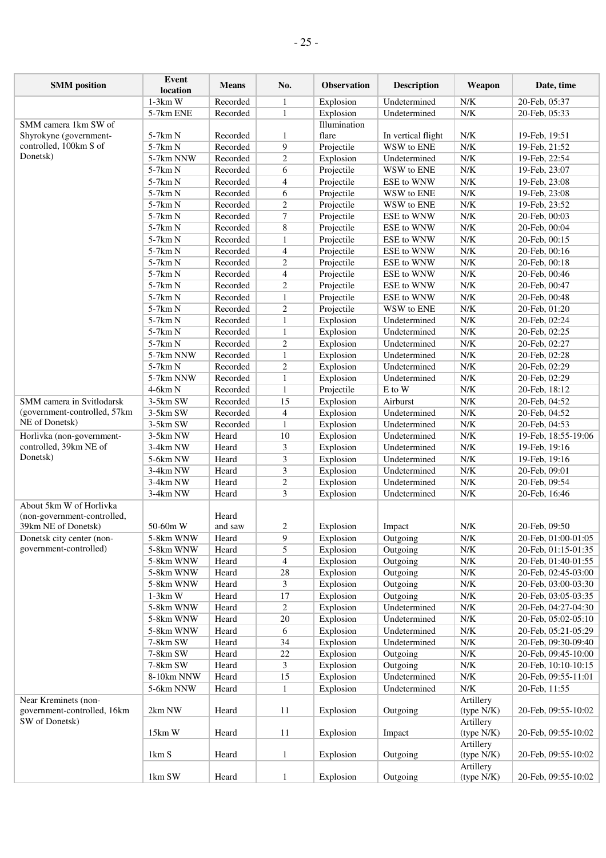| <b>SMM</b> position           | Event<br>location | <b>Means</b> | No.              | <b>Observation</b> | <b>Description</b> | Weapon      | Date, time          |
|-------------------------------|-------------------|--------------|------------------|--------------------|--------------------|-------------|---------------------|
|                               | $1-3km$ W         | Recorded     | 1                | Explosion          | Undetermined       | ${\rm N/K}$ | 20-Feb, 05:37       |
|                               | 5-7km ENE         | Recorded     | 1                | Explosion          | Undetermined       | ${\rm N/K}$ | 20-Feb, 05:33       |
| SMM camera 1km SW of          |                   |              |                  | Illumination       |                    |             |                     |
| Shyrokyne (government-        | 5-7km N           | Recorded     | 1                | flare              | In vertical flight | N/K         | 19-Feb, 19:51       |
| controlled, 100km S of        | 5-7km N           | Recorded     | 9                | Projectile         | WSW to ENE         | N/K         | 19-Feb, 21:52       |
| Donetsk)                      | 5-7km NNW         | Recorded     | 2                | Explosion          | Undetermined       | ${\rm N/K}$ | 19-Feb, 22:54       |
|                               | 5-7km N           | Recorded     | 6                | Projectile         | WSW to ENE         | N/K         | 19-Feb, 23:07       |
|                               | 5-7km N           | Recorded     | $\overline{4}$   | Projectile         | ESE to WNW         | ${\rm N/K}$ | 19-Feb, 23:08       |
|                               | 5-7km N           | Recorded     | 6                | Projectile         | WSW to ENE         | ${\rm N/K}$ | 19-Feb, 23:08       |
|                               | 5-7km N           | Recorded     | $\overline{c}$   | Projectile         | WSW to ENE         | N/K         | 19-Feb, 23:52       |
|                               | 5-7km N           | Recorded     | $\overline{7}$   | Projectile         | ESE to WNW         | ${\rm N/K}$ | 20-Feb, 00:03       |
|                               | 5-7km N           | Recorded     | $\,$ 8 $\,$      | Projectile         | ESE to WNW         | ${\rm N/K}$ | 20-Feb, 00:04       |
|                               | 5-7km N           | Recorded     | $\mathbf{1}$     | Projectile         | ESE to WNW         | N/K         | 20-Feb, 00:15       |
|                               | 5-7km N           | Recorded     | $\overline{4}$   | Projectile         | ESE to WNW         | N/K         | 20-Feb, 00:16       |
|                               |                   |              |                  |                    |                    | ${\rm N/K}$ |                     |
|                               | 5-7km N           | Recorded     | $\overline{c}$   | Projectile         | ESE to WNW         |             | 20-Feb, 00:18       |
|                               | 5-7km N           | Recorded     | $\overline{4}$   | Projectile         | ESE to WNW         | ${\rm N/K}$ | 20-Feb, 00:46       |
|                               | 5-7km N           | Recorded     | $\overline{2}$   | Projectile         | ESE to WNW         | N/K         | 20-Feb, 00:47       |
|                               | 5-7km N           | Recorded     | $\mathbf{1}$     | Projectile         | ESE to WNW         | N/K         | 20-Feb, 00:48       |
|                               | 5-7km N           | Recorded     | $\overline{c}$   | Projectile         | WSW to ENE         | ${\rm N/K}$ | 20-Feb, 01:20       |
|                               | 5-7km N           | Recorded     | $\mathbf{1}$     | Explosion          | Undetermined       | ${\rm N/K}$ | 20-Feb, 02:24       |
|                               | 5-7km N           | Recorded     | $\mathbf{1}$     | Explosion          | Undetermined       | N/K         | 20-Feb, 02:25       |
|                               | 5-7km N           | Recorded     | $\overline{2}$   | Explosion          | Undetermined       | N/K         | 20-Feb, 02:27       |
|                               | 5-7km NNW         | Recorded     | $\mathbf{1}$     | Explosion          | Undetermined       | ${\rm N/K}$ | 20-Feb, 02:28       |
|                               | 5-7km N           | Recorded     | $\overline{c}$   | Explosion          | Undetermined       | ${\rm N/K}$ | 20-Feb, 02:29       |
|                               | 5-7km NNW         | Recorded     | $\mathbf{1}$     | Explosion          | Undetermined       | N/K         | 20-Feb, 02:29       |
|                               | $4-6km N$         | Recorded     | $\mathbf{1}$     | Projectile         | E to W             | N/K         | 20-Feb, 18:12       |
| SMM camera in Svitlodarsk     | 3-5km SW          | Recorded     | 15               | Explosion          | Airburst           | ${\rm N/K}$ | 20-Feb, 04:52       |
| (government-controlled, 57km) | 3-5km SW          | Recorded     | $\overline{4}$   | Explosion          | Undetermined       | ${\rm N/K}$ | 20-Feb, 04:52       |
| NE of Donetsk)                | 3-5km SW          | Recorded     | 1                | Explosion          | Undetermined       | N/K         | 20-Feb, 04:53       |
| Horlivka (non-government-     | 3-5km NW          | Heard        | 10               | Explosion          | Undetermined       | ${\rm N/K}$ | 19-Feb, 18:55-19:06 |
| controlled, 39km NE of        | 3-4km NW          | Heard        | 3                | Explosion          | Undetermined       | N/K         | 19-Feb, 19:16       |
| Donetsk)                      | 5-6km NW          | Heard        | 3                | Explosion          | Undetermined       | ${\rm N/K}$ | 19-Feb, 19:16       |
|                               | 3-4km NW          | Heard        | 3                | Explosion          | Undetermined       | N/K         | 20-Feb, 09:01       |
|                               | 3-4km NW          | Heard        | $\overline{c}$   | Explosion          | Undetermined       | ${\rm N/K}$ | 20-Feb, 09:54       |
|                               | 3-4km NW          | Heard        | 3                | Explosion          | Undetermined       | N/K         | 20-Feb, 16:46       |
| About 5km W of Horlivka       |                   |              |                  |                    |                    |             |                     |
| (non-government-controlled,   |                   | Heard        |                  |                    |                    |             |                     |
| 39km NE of Donetsk)           | 50-60m W          | and saw      | $\overline{2}$   | Explosion          | Impact             | N/K         | 20-Feb, 09:50       |
| Donetsk city center (non-     | 5-8km WNW         | Heard        | $\boldsymbol{9}$ | Explosion          | Outgoing           | ${\rm N/K}$ | 20-Feb, 01:00-01:05 |
| government-controlled)        | 5-8km WNW         | Heard        | 5                | Explosion          | Outgoing           | ${\rm N/K}$ | 20-Feb, 01:15-01:35 |
|                               | 5-8km WNW         | Heard        | $\overline{4}$   | Explosion          | Outgoing           | ${\rm N/K}$ | 20-Feb, 01:40-01:55 |
|                               | 5-8km WNW         | Heard        | 28               | Explosion          | Outgoing           | N/K         | 20-Feb, 02:45-03:00 |
|                               | 5-8km WNW         | Heard        | 3                | Explosion          | Outgoing           | ${\rm N/K}$ | 20-Feb, 03:00-03:30 |
|                               | $1-3km$ W         | Heard        | 17               | Explosion          | Outgoing           | ${\rm N/K}$ | 20-Feb, 03:05-03:35 |
|                               | 5-8km WNW         | Heard        | 2                | Explosion          | Undetermined       | ${\rm N/K}$ | 20-Feb, 04:27-04:30 |
|                               | 5-8km WNW         | Heard        | 20               | Explosion          | Undetermined       | ${\rm N/K}$ | 20-Feb, 05:02-05:10 |
|                               | 5-8km WNW         | Heard        | 6                | Explosion          | Undetermined       | N/K         | 20-Feb, 05:21-05:29 |
|                               | 7-8km SW          | Heard        | 34               | Explosion          | Undetermined       | ${\rm N/K}$ | 20-Feb, 09:30-09:40 |
|                               | 7-8km SW          | Heard        | $22\,$           | Explosion          | Outgoing           | ${\rm N/K}$ | 20-Feb, 09:45-10:00 |
|                               | 7-8km SW          | Heard        | 3                | Explosion          | Outgoing           | ${\rm N/K}$ | 20-Feb, 10:10-10:15 |
|                               | 8-10km NNW        | Heard        | 15               | Explosion          | Undetermined       | N/K         | 20-Feb, 09:55-11:01 |
|                               | 5-6km NNW         | Heard        | $\mathbf{1}$     | Explosion          | Undetermined       | ${\rm N/K}$ | 20-Feb, 11:55       |
| Near Kreminets (non-          |                   |              |                  |                    |                    | Artillery   |                     |
| government-controlled, 16km   | 2km NW            | Heard        | 11               | Explosion          | Outgoing           | (type N/K)  | 20-Feb, 09:55-10:02 |
| SW of Donetsk)                |                   |              |                  |                    |                    | Artillery   |                     |
|                               | 15km W            | Heard        | 11               | Explosion          | Impact             | (type N/K)  | 20-Feb, 09:55-10:02 |
|                               |                   |              |                  |                    |                    | Artillery   |                     |
|                               | 1km S             | Heard        | $\mathbf{1}$     | Explosion          | Outgoing           | (type N/K)  | 20-Feb, 09:55-10:02 |
|                               |                   |              |                  |                    |                    | Artillery   |                     |
|                               | 1km SW            | Heard        | 1                | Explosion          | Outgoing           | (type N/K)  | 20-Feb, 09:55-10:02 |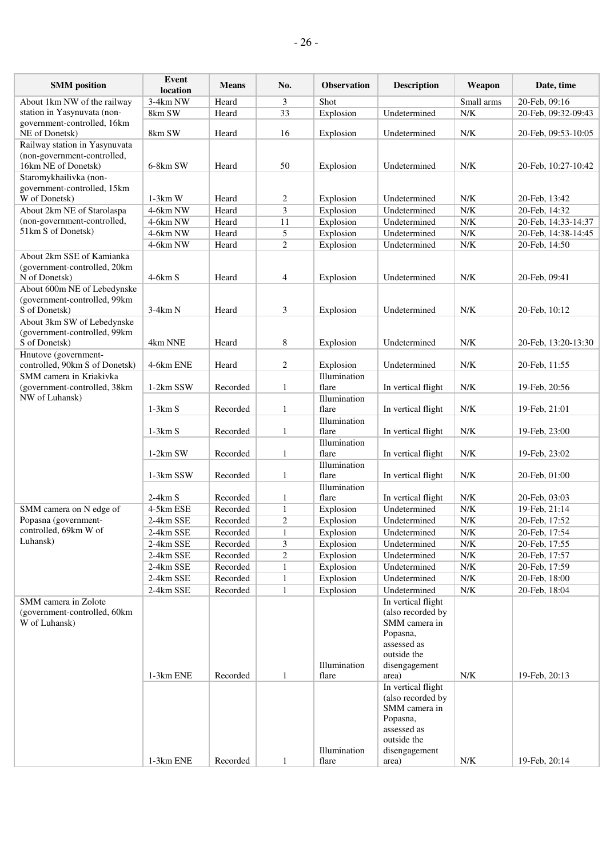| <b>SMM</b> position                                                        | Event<br>location | <b>Means</b> | No.            | <b>Observation</b> | <b>Description</b>                                                                                 | Weapon      | Date, time          |
|----------------------------------------------------------------------------|-------------------|--------------|----------------|--------------------|----------------------------------------------------------------------------------------------------|-------------|---------------------|
| About 1km NW of the railway                                                | 3-4km NW          | Heard        | 3              | Shot               |                                                                                                    | Small arms  | 20-Feb, 09:16       |
| station in Yasynuvata (non-                                                | 8km SW            | Heard        | 33             | Explosion          | Undetermined                                                                                       | N/K         | 20-Feb, 09:32-09:43 |
| government-controlled, 16km<br>NE of Donetsk)                              | 8km SW            | Heard        | 16             | Explosion          | Undetermined                                                                                       | ${\rm N/K}$ | 20-Feb, 09:53-10:05 |
| Railway station in Yasynuvata<br>(non-government-controlled,               |                   |              |                |                    |                                                                                                    |             |                     |
| 16km NE of Donetsk)                                                        | 6-8km SW          | Heard        | 50             | Explosion          | Undetermined                                                                                       | N/K         | 20-Feb, 10:27-10:42 |
| Staromykhailivka (non-                                                     |                   |              |                |                    |                                                                                                    |             |                     |
| government-controlled, 15km                                                |                   |              |                |                    |                                                                                                    |             |                     |
| W of Donetsk)                                                              | $1-3km$ W         | Heard        | 2              | Explosion          | Undetermined                                                                                       | N/K         | 20-Feb, 13:42       |
| About 2km NE of Starolaspa                                                 | 4-6km NW          | Heard        | 3              | Explosion          | Undetermined                                                                                       | ${\rm N/K}$ | 20-Feb, 14:32       |
| (non-government-controlled,                                                | 4-6km NW          | Heard        | 11             | Explosion          | Undetermined                                                                                       | ${\rm N/K}$ | 20-Feb, 14:33-14:37 |
| 51km S of Donetsk)                                                         | 4-6km NW          | Heard        | 5              | Explosion          | Undetermined                                                                                       | ${\rm N/K}$ | 20-Feb, 14:38-14:45 |
|                                                                            | 4-6km NW          | Heard        | $\overline{c}$ | Explosion          | Undetermined                                                                                       | ${\rm N/K}$ | 20-Feb, 14:50       |
| About 2km SSE of Kamianka<br>(government-controlled, 20km<br>N of Donetsk) | $4-6km S$         | Heard        | 4              | Explosion          | Undetermined                                                                                       | N/K         | 20-Feb, 09:41       |
| About 600m NE of Lebedynske                                                |                   |              |                |                    |                                                                                                    |             |                     |
| (government-controlled, 99km                                               |                   |              |                |                    |                                                                                                    |             |                     |
| S of Donetsk)                                                              | $3-4km N$         | Heard        | 3              | Explosion          | Undetermined                                                                                       | N/K         | 20-Feb, 10:12       |
| About 3km SW of Lebedynske                                                 |                   |              |                |                    |                                                                                                    |             |                     |
| (government-controlled, 99km                                               |                   |              |                |                    |                                                                                                    |             |                     |
| S of Donetsk)                                                              | 4km NNE           | Heard        | 8              | Explosion          | Undetermined                                                                                       | N/K         | 20-Feb, 13:20-13:30 |
| Hnutove (government-<br>controlled, 90km S of Donetsk)                     | 4-6km ENE         | Heard        | 2              | Explosion          | Undetermined                                                                                       | N/K         | 20-Feb, 11:55       |
| SMM camera in Kriakivka                                                    |                   |              |                | Illumination       |                                                                                                    |             |                     |
| (government-controlled, 38km                                               | 1-2km SSW         | Recorded     | 1              | flare              | In vertical flight                                                                                 | N/K         | 19-Feb, 20:56       |
| NW of Luhansk)                                                             |                   |              |                | Illumination       |                                                                                                    |             |                     |
|                                                                            | $1-3km S$         | Recorded     | 1              | flare              | In vertical flight                                                                                 | N/K         | 19-Feb, 21:01       |
|                                                                            |                   |              |                | Illumination       |                                                                                                    |             |                     |
|                                                                            | $1-3km S$         | Recorded     | $\mathbf{1}$   | flare              | In vertical flight                                                                                 | ${\rm N/K}$ | 19-Feb, 23:00       |
|                                                                            |                   |              |                | Illumination       |                                                                                                    |             |                     |
|                                                                            | 1-2km SW          | Recorded     | 1              | flare              | In vertical flight                                                                                 | ${\rm N/K}$ | 19-Feb, 23:02       |
|                                                                            |                   |              |                | Illumination       |                                                                                                    |             |                     |
|                                                                            | 1-3km SSW         | Recorded     | 1              | flare              | In vertical flight                                                                                 | N/K         | 20-Feb, 01:00       |
|                                                                            |                   |              |                | Illumination       |                                                                                                    |             |                     |
|                                                                            | $2-4km S$         | Recorded     | 1              | flare              | In vertical flight                                                                                 | N/K         | 20-Feb, 03:03       |
| SMM camera on N edge of                                                    | 4-5km ESE         | Recorded     | 1              | Explosion          | Undetermined                                                                                       | ${\rm N/K}$ | 19-Feb, 21:14       |
| Popasna (government-                                                       | 2-4km SSE         | Recorded     | $\overline{c}$ | Explosion          | Undetermined                                                                                       | ${\rm N/K}$ | 20-Feb, 17:52       |
| controlled, 69km W of                                                      | 2-4km SSE         | Recorded     | $\mathbf{1}$   | Explosion          | Undetermined                                                                                       | N/K         | 20-Feb, 17:54       |
| Luhansk)                                                                   | 2-4km SSE         | Recorded     | 3              | Explosion          | Undetermined                                                                                       | N/K         | 20-Feb, 17:55       |
|                                                                            | 2-4km SSE         | Recorded     | $\overline{c}$ | Explosion          | Undetermined                                                                                       | ${\rm N/K}$ | 20-Feb, 17:57       |
|                                                                            | 2-4km SSE         | Recorded     | $\mathbf{1}$   | Explosion          | Undetermined                                                                                       | ${\rm N/K}$ | 20-Feb, 17:59       |
|                                                                            | 2-4km SSE         | Recorded     | $\mathbf{1}$   | Explosion          | Undetermined                                                                                       | ${\rm N/K}$ | 20-Feb, 18:00       |
|                                                                            | 2-4km SSE         | Recorded     | 1              | Explosion          | Undetermined                                                                                       | ${\rm N/K}$ | 20-Feb, 18:04       |
| SMM camera in Zolote<br>(government-controlled, 60km)<br>W of Luhansk)     |                   |              |                | Illumination       | In vertical flight<br>(also recorded by<br>SMM camera in<br>Popasna,<br>assessed as<br>outside the |             |                     |
|                                                                            | 1-3km ENE         | Recorded     | 1              | flare              | disengagement<br>area)                                                                             | N/K         | 19-Feb, 20:13       |
|                                                                            |                   |              |                |                    | In vertical flight<br>(also recorded by<br>SMM camera in<br>Popasna,                               |             |                     |
|                                                                            |                   |              |                | Illumination       | assessed as<br>outside the<br>disengagement                                                        |             |                     |
|                                                                            | 1-3km ENE         | Recorded     | 1              | flare              | area)                                                                                              | $N/K$       | 19-Feb, 20:14       |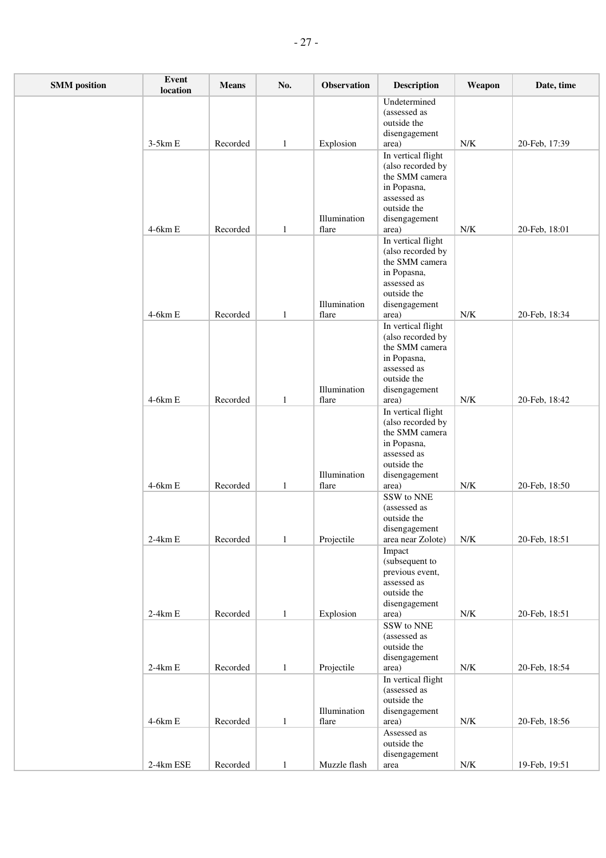| <b>SMM</b> position | Event<br>location | <b>Means</b> | No.          | <b>Observation</b>         | <b>Description</b>                                                                                                               | Weapon      | Date, time    |
|---------------------|-------------------|--------------|--------------|----------------------------|----------------------------------------------------------------------------------------------------------------------------------|-------------|---------------|
|                     | $3-5km E$         | Recorded     | $\mathbf{1}$ | Explosion                  | Undetermined<br>(assessed as<br>outside the<br>disengagement<br>area)                                                            | ${\rm N/K}$ | 20-Feb, 17:39 |
|                     |                   |              |              | Illumination               | In vertical flight<br>(also recorded by<br>the SMM camera<br>in Popasna,<br>assessed as<br>outside the<br>disengagement          |             |               |
|                     | $4-6km E$         | Recorded     | $\mathbf{1}$ | flare                      | area)<br>In vertical flight<br>(also recorded by<br>the SMM camera<br>in Popasna,<br>assessed as                                 | ${\rm N/K}$ | 20-Feb, 18:01 |
|                     | 4-6km E           | Recorded     | $\mathbf{1}$ | Illumination<br>flare      | outside the<br>disengagement<br>area)                                                                                            | ${\rm N/K}$ | 20-Feb, 18:34 |
|                     |                   |              |              | Illumination               | In vertical flight<br>(also recorded by<br>the SMM camera<br>in Popasna,<br>assessed as<br>outside the<br>disengagement          |             |               |
|                     | 4-6km E           | Recorded     | $\mathbf{1}$ | flare<br>Illumination      | area)<br>In vertical flight<br>(also recorded by<br>the SMM camera<br>in Popasna,<br>assessed as<br>outside the<br>disengagement | ${\rm N/K}$ | 20-Feb, 18:42 |
|                     | $4-6km E$         | Recorded     | 1            | flare                      | area)<br>SSW to NNE<br>(assessed as<br>outside the<br>disengagement                                                              | ${\rm N/K}$ | 20-Feb, 18:50 |
|                     | $2-4km E$         | Recorded     | $\mathbf{1}$ | Projectile                 | area near Zolote)<br>Impact<br>(subsequent to<br>previous event,<br>assessed as<br>outside the<br>disengagement                  | ${\rm N/K}$ | 20-Feb, 18:51 |
|                     | $2-4km E$         | Recorded     | $\mathbf{1}$ | Explosion                  | area)<br>SSW to NNE<br>(assessed as<br>outside the<br>disengagement                                                              | N/K         | 20-Feb, 18:51 |
|                     | $2-4km E$         | Recorded     | $\mathbf{1}$ | Projectile<br>Illumination | area)<br>In vertical flight<br>(assessed as<br>outside the<br>disengagement                                                      | N/K         | 20-Feb, 18:54 |
|                     | $4-6km E$         | Recorded     | $\mathbf{1}$ | flare                      | area)<br>Assessed as<br>outside the<br>disengagement                                                                             | ${\rm N/K}$ | 20-Feb, 18:56 |
|                     | 2-4km ESE         | Recorded     | $\mathbf{1}$ | Muzzle flash               | area                                                                                                                             | ${\rm N/K}$ | 19-Feb, 19:51 |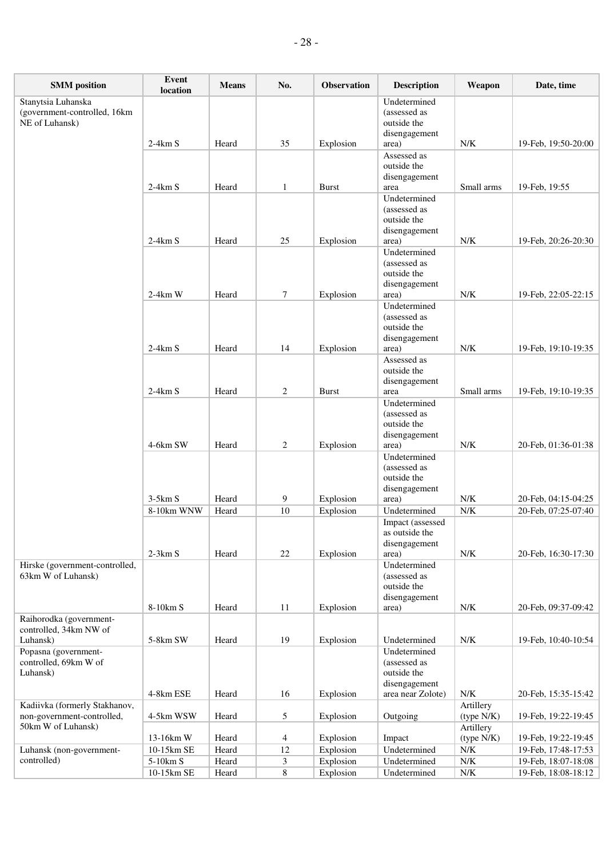| <b>SMM</b> position                                  | Event<br>location | <b>Means</b> | No.            | Observation  | <b>Description</b>                 | Weapon                  | Date, time          |
|------------------------------------------------------|-------------------|--------------|----------------|--------------|------------------------------------|-------------------------|---------------------|
| Stanytsia Luhanska<br>(government-controlled, 16km   |                   |              |                |              | Undetermined<br>(assessed as       |                         |                     |
| NE of Luhansk)                                       |                   |              |                |              | outside the                        |                         |                     |
|                                                      |                   |              |                |              | disengagement                      |                         |                     |
|                                                      | $2-4km S$         | Heard        | 35             | Explosion    | area)<br>Assessed as               | N/K                     | 19-Feb, 19:50-20:00 |
|                                                      |                   |              |                |              | outside the                        |                         |                     |
|                                                      | $2-4km S$         | Heard        | $\mathbf{1}$   | <b>Burst</b> | disengagement<br>area              | Small arms              | 19-Feb, 19:55       |
|                                                      |                   |              |                |              | Undetermined                       |                         |                     |
|                                                      |                   |              |                |              | (assessed as<br>outside the        |                         |                     |
|                                                      |                   |              |                |              | disengagement                      |                         |                     |
|                                                      | $2-4km S$         | Heard        | 25             | Explosion    | area)                              | N/K                     | 19-Feb, 20:26-20:30 |
|                                                      |                   |              |                |              | Undetermined<br>(assessed as       |                         |                     |
|                                                      |                   |              |                |              | outside the                        |                         |                     |
|                                                      | $2-4km$ W         | Heard        | $\tau$         | Explosion    | disengagement<br>area)             | N/K                     | 19-Feb, 22:05-22:15 |
|                                                      |                   |              |                |              | Undetermined                       |                         |                     |
|                                                      |                   |              |                |              | (assessed as                       |                         |                     |
|                                                      |                   |              |                |              | outside the<br>disengagement       |                         |                     |
|                                                      | $2-4km S$         | Heard        | 14             | Explosion    | area)                              | ${\rm N/K}$             | 19-Feb, 19:10-19:35 |
|                                                      |                   |              |                |              | Assessed as<br>outside the         |                         |                     |
|                                                      |                   |              |                |              | disengagement                      |                         |                     |
|                                                      | $2-4km S$         | Heard        | 2              | <b>Burst</b> | area                               | Small arms              | 19-Feb, 19:10-19:35 |
|                                                      |                   |              |                |              | Undetermined<br>(assessed as       |                         |                     |
|                                                      |                   |              |                |              | outside the                        |                         |                     |
|                                                      |                   |              |                |              | disengagement                      |                         |                     |
|                                                      | 4-6km SW          | Heard        | $\overline{c}$ | Explosion    | area)<br>Undetermined              | ${\rm N/K}$             | 20-Feb, 01:36-01:38 |
|                                                      |                   |              |                |              | (assessed as                       |                         |                     |
|                                                      |                   |              |                |              | outside the                        |                         |                     |
|                                                      | $3-5km S$         | Heard        | 9              | Explosion    | disengagement<br>area)             | ${\rm N/K}$             | 20-Feb, 04:15-04:25 |
|                                                      | 8-10km WNW        | Heard        | 10             | Explosion    | Undetermined                       | ${\rm N/K}$             | 20-Feb, 07:25-07:40 |
|                                                      |                   |              |                |              | Impact (assessed                   |                         |                     |
|                                                      |                   |              |                |              | as outside the<br>disengagement    |                         |                     |
|                                                      | $2-3km S$         | Heard        | $22\,$         | Explosion    | area)                              | N/K                     | 20-Feb, 16:30-17:30 |
| Hirske (government-controlled,<br>63km W of Luhansk) |                   |              |                |              | Undetermined<br>(assessed as       |                         |                     |
|                                                      |                   |              |                |              | outside the                        |                         |                     |
|                                                      |                   |              |                |              | disengagement                      |                         |                     |
| Raihorodka (government-                              | 8-10km S          | Heard        | 11             | Explosion    | area)                              | ${\rm N/K}$             | 20-Feb, 09:37-09:42 |
| controlled, 34km NW of                               |                   |              |                |              |                                    |                         |                     |
| Luhansk)                                             | 5-8km SW          | Heard        | 19             | Explosion    | Undetermined                       | N/K                     | 19-Feb, 10:40-10:54 |
| Popasna (government-<br>controlled, 69km W of        |                   |              |                |              | Undetermined<br>(assessed as       |                         |                     |
| Luhansk)                                             |                   |              |                |              | outside the                        |                         |                     |
|                                                      | 4-8km ESE         | Heard        | 16             | Explosion    | disengagement<br>area near Zolote) | ${\rm N/K}$             | 20-Feb, 15:35-15:42 |
| Kadiivka (formerly Stakhanov,                        |                   |              |                |              |                                    | Artillery               |                     |
| non-government-controlled,                           | 4-5km WSW         | Heard        | 5              | Explosion    | Outgoing                           | (type N/K)              | 19-Feb, 19:22-19:45 |
| 50km W of Luhansk)                                   | 13-16km W         | Heard        | 4              | Explosion    | Impact                             | Artillery<br>(type N/K) | 19-Feb, 19:22-19:45 |
| Luhansk (non-government-                             | 10-15km SE        | Heard        | 12             | Explosion    | Undetermined                       | ${\rm N/K}$             | 19-Feb, 17:48-17:53 |
| controlled)                                          | 5-10km S          | Heard        | 3              | Explosion    | Undetermined                       | ${\rm N/K}$             | 19-Feb, 18:07-18:08 |
|                                                      | 10-15km SE        | Heard        | $\,8\,$        | Explosion    | Undetermined                       | ${\rm N/K}$             | 19-Feb, 18:08-18:12 |